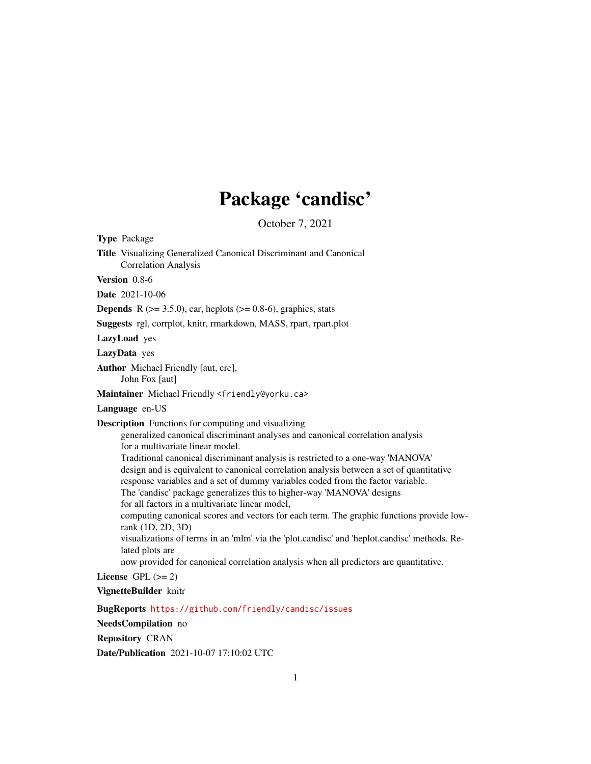# Package 'candisc'

October 7, 2021

<span id="page-0-0"></span>Type Package Title Visualizing Generalized Canonical Discriminant and Canonical Correlation Analysis Version 0.8-6 Date 2021-10-06 **Depends** R ( $>= 3.5.0$ ), car, heplots ( $>= 0.8-6$ ), graphics, stats Suggests rgl, corrplot, knitr, rmarkdown, MASS, rpart, rpart.plot LazyLoad yes LazyData yes Author Michael Friendly [aut, cre], John Fox [aut] Maintainer Michael Friendly <friendly@yorku.ca> Language en-US Description Functions for computing and visualizing generalized canonical discriminant analyses and canonical correlation analysis for a multivariate linear model. Traditional canonical discriminant analysis is restricted to a one-way 'MANOVA' design and is equivalent to canonical correlation analysis between a set of quantitative response variables and a set of dummy variables coded from the factor variable. The 'candisc' package generalizes this to higher-way 'MANOVA' designs for all factors in a multivariate linear model, computing canonical scores and vectors for each term. The graphic functions provide lowrank (1D, 2D, 3D) visualizations of terms in an 'mlm' via the 'plot.candisc' and 'heplot.candisc' methods. Related plots are now provided for canonical correlation analysis when all predictors are quantitative. License GPL  $(>= 2)$ VignetteBuilder knitr BugReports <https://github.com/friendly/candisc/issues> NeedsCompilation no

Repository CRAN

Date/Publication 2021-10-07 17:10:02 UTC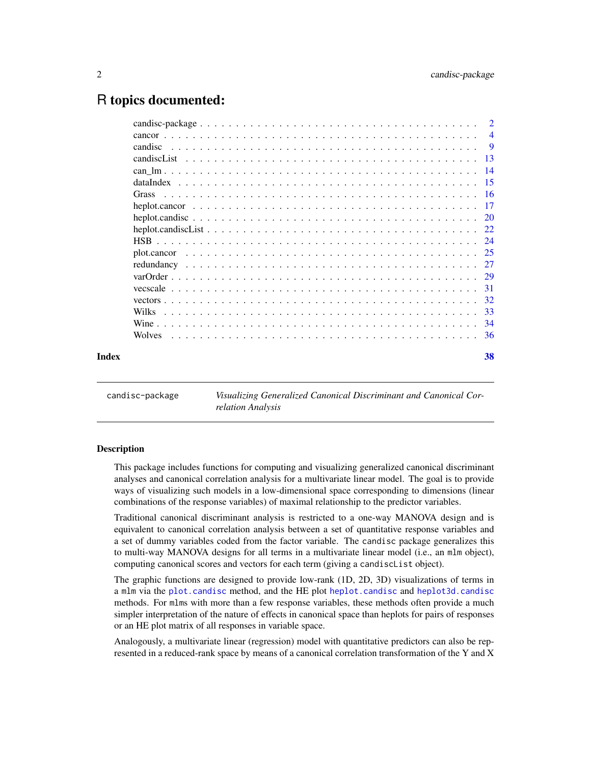# <span id="page-1-0"></span>R topics documented:

|       | cancor       | $\overline{4}$ |
|-------|--------------|----------------|
|       | candisc      | - 9            |
|       |              |                |
|       |              |                |
|       |              |                |
|       | Grass        |                |
|       |              |                |
|       |              |                |
|       |              |                |
|       |              |                |
|       |              |                |
|       |              |                |
|       |              |                |
|       |              | 31             |
|       |              |                |
|       | <b>Wilks</b> | -33            |
|       |              |                |
|       |              |                |
|       |              |                |
| Index |              | 38             |
|       |              |                |

candisc-package *Visualizing Generalized Canonical Discriminant and Canonical Correlation Analysis*

#### Description

This package includes functions for computing and visualizing generalized canonical discriminant analyses and canonical correlation analysis for a multivariate linear model. The goal is to provide ways of visualizing such models in a low-dimensional space corresponding to dimensions (linear combinations of the response variables) of maximal relationship to the predictor variables.

Traditional canonical discriminant analysis is restricted to a one-way MANOVA design and is equivalent to canonical correlation analysis between a set of quantitative response variables and a set of dummy variables coded from the factor variable. The candisc package generalizes this to multi-way MANOVA designs for all terms in a multivariate linear model (i.e., an mlm object), computing canonical scores and vectors for each term (giving a candiscList object).

The graphic functions are designed to provide low-rank (1D, 2D, 3D) visualizations of terms in a mlm via the [plot.candisc](#page-8-1) method, and the HE plot [heplot.candisc](#page-19-1) and [heplot3d.candisc](#page-19-2) methods. For mlms with more than a few response variables, these methods often provide a much simpler interpretation of the nature of effects in canonical space than heplots for pairs of responses or an HE plot matrix of all responses in variable space.

Analogously, a multivariate linear (regression) model with quantitative predictors can also be represented in a reduced-rank space by means of a canonical correlation transformation of the Y and X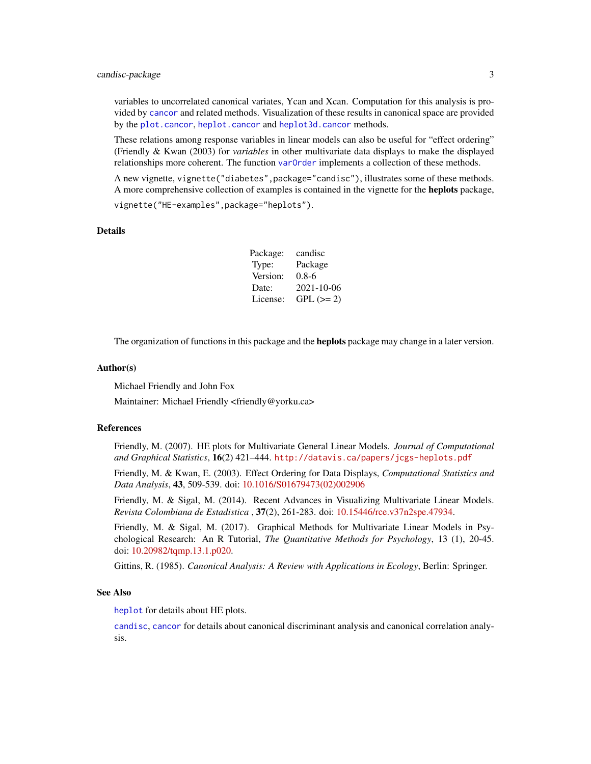## <span id="page-2-0"></span>candisc-package 3

variables to uncorrelated canonical variates, Ycan and Xcan. Computation for this analysis is provided by [cancor](#page-3-1) and related methods. Visualization of these results in canonical space are provided by the [plot.cancor](#page-24-1), [heplot.cancor](#page-16-1) and [heplot3d.cancor](#page-16-2) methods.

These relations among response variables in linear models can also be useful for "effect ordering" (Friendly & Kwan (2003) for *variables* in other multivariate data displays to make the displayed relationships more coherent. The function [varOrder](#page-28-1) implements a collection of these methods.

A new vignette, vignette("diabetes",package="candisc"), illustrates some of these methods. A more comprehensive collection of examples is contained in the vignette for the **heplots** package, vignette("HE-examples",package="heplots").

#### **Details**

| Package: | candisc     |
|----------|-------------|
| Type:    | Package     |
| Version: | $0.8-6$     |
| Date:    | 2021-10-06  |
| License: | $GPL (= 2)$ |

The organization of functions in this package and the **heplots** package may change in a later version.

#### Author(s)

Michael Friendly and John Fox

Maintainer: Michael Friendly <friendly@yorku.ca>

#### References

Friendly, M. (2007). HE plots for Multivariate General Linear Models. *Journal of Computational and Graphical Statistics*, 16(2) 421–444. <http://datavis.ca/papers/jcgs-heplots.pdf>

Friendly, M. & Kwan, E. (2003). Effect Ordering for Data Displays, *Computational Statistics and Data Analysis*, 43, 509-539. doi: [10.1016/S01679473\(02\)002906](https://doi.org/10.1016/S0167-9473(02)00290-6)

Friendly, M. & Sigal, M. (2014). Recent Advances in Visualizing Multivariate Linear Models. *Revista Colombiana de Estadistica* , 37(2), 261-283. doi: [10.15446/rce.v37n2spe.47934.](https://doi.org/10.15446/rce.v37n2spe.47934)

Friendly, M. & Sigal, M. (2017). Graphical Methods for Multivariate Linear Models in Psychological Research: An R Tutorial, *The Quantitative Methods for Psychology*, 13 (1), 20-45. doi: [10.20982/tqmp.13.1.p020.](https://doi.org/10.20982/tqmp.13.1.p020)

Gittins, R. (1985). *Canonical Analysis: A Review with Applications in Ecology*, Berlin: Springer.

#### See Also

[heplot](#page-0-0) for details about HE plots.

[candisc](#page-8-2), [cancor](#page-3-1) for details about canonical discriminant analysis and canonical correlation analysis.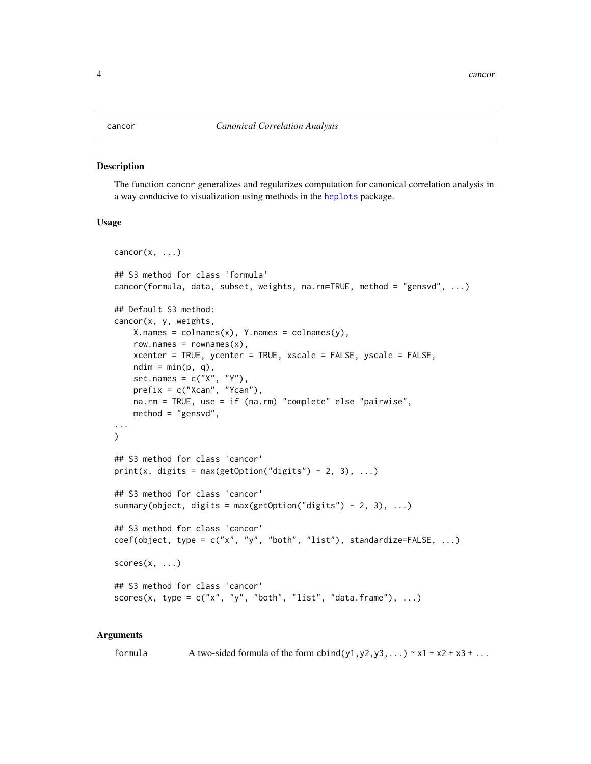#### <span id="page-3-1"></span><span id="page-3-0"></span>Description

The function cancor generalizes and regularizes computation for canonical correlation analysis in a way conducive to visualization using methods in the [heplots](#page-0-0) package.

#### Usage

```
cancor(x, \ldots)## S3 method for class 'formula'
cancor(formula, data, subset, weights, na.rm=TRUE, method = "gensvd", ...)
## Default S3 method:
cancor(x, y, weights,
    X.name = colnames(x), Y.name = colnames(y),row.names = rownames(x),
    xcenter = TRUE, ycenter = TRUE, xscale = FALSE, yscale = FALSE,
    ndim = min(p, q),
    set.names = c("X", "Y"),
    prefix = c("Xcan", "Ycan"),
    na.rm = TRUE, use = if (na.rm) "complete" else "pairwise",
    method = "gensvd",
...
\mathcal{L}## S3 method for class 'cancor'
print(x, digits = max(getOption("digits") - 2, 3), ...)## S3 method for class 'cancor'
summary(object, digits = max(getOption("digits") - 2, 3), \dots)
## S3 method for class 'cancor'
coef(object, type = c("x", "y", "both", "list"), standardize=False, ...)scores(x, \ldots)## S3 method for class 'cancor'
scores(x, type = c("x", "y", "both", "list", "data-frame"), ...)
```
#### Arguments

formula A two-sided formula of the form cbind(y1,y2,y3,...)  $\sim x1 + x2 + x3 + ...$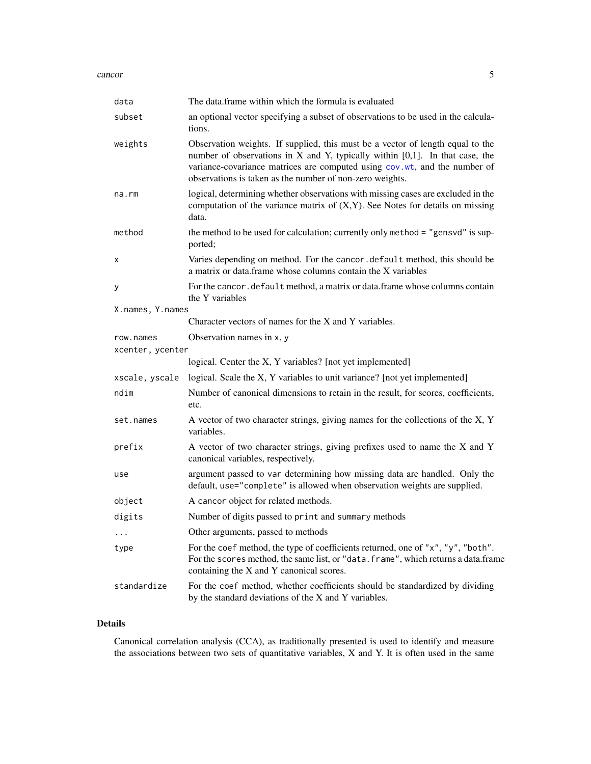#### <span id="page-4-0"></span>cancor 5

| data             | The data.frame within which the formula is evaluated                                                                                                                                                                                                                                                            |  |
|------------------|-----------------------------------------------------------------------------------------------------------------------------------------------------------------------------------------------------------------------------------------------------------------------------------------------------------------|--|
| subset           | an optional vector specifying a subset of observations to be used in the calcula-<br>tions.                                                                                                                                                                                                                     |  |
| weights          | Observation weights. If supplied, this must be a vector of length equal to the<br>number of observations in $X$ and $Y$ , typically within $[0,1]$ . In that case, the<br>variance-covariance matrices are computed using cov.wt, and the number of<br>observations is taken as the number of non-zero weights. |  |
| na.rm            | logical, determining whether observations with missing cases are excluded in the<br>computation of the variance matrix of $(X, Y)$ . See Notes for details on missing<br>data.                                                                                                                                  |  |
| method           | the method to be used for calculation; currently only method = "gensvd" is sup-<br>ported;                                                                                                                                                                                                                      |  |
| х                | Varies depending on method. For the cancor default method, this should be<br>a matrix or data.frame whose columns contain the X variables                                                                                                                                                                       |  |
| У                | For the cancor. default method, a matrix or data.frame whose columns contain<br>the Y variables                                                                                                                                                                                                                 |  |
| X.names, Y.names |                                                                                                                                                                                                                                                                                                                 |  |
|                  | Character vectors of names for the X and Y variables.                                                                                                                                                                                                                                                           |  |
| row.names        | Observation names in x, y                                                                                                                                                                                                                                                                                       |  |
| xcenter, ycenter |                                                                                                                                                                                                                                                                                                                 |  |
|                  | logical. Center the X, Y variables? [not yet implemented]                                                                                                                                                                                                                                                       |  |
| xscale, yscale   | logical. Scale the X, Y variables to unit variance? [not yet implemented]                                                                                                                                                                                                                                       |  |
| ndim             | Number of canonical dimensions to retain in the result, for scores, coefficients,<br>etc.                                                                                                                                                                                                                       |  |
| set.names        | A vector of two character strings, giving names for the collections of the X, Y<br>variables.                                                                                                                                                                                                                   |  |
| prefix           | A vector of two character strings, giving prefixes used to name the X and Y<br>canonical variables, respectively.                                                                                                                                                                                               |  |
| use              | argument passed to var determining how missing data are handled. Only the<br>default, use="complete" is allowed when observation weights are supplied.                                                                                                                                                          |  |
| object           | A cancor object for related methods.                                                                                                                                                                                                                                                                            |  |
| digits           | Number of digits passed to print and summary methods                                                                                                                                                                                                                                                            |  |
|                  | Other arguments, passed to methods                                                                                                                                                                                                                                                                              |  |
| type             | For the coef method, the type of coefficients returned, one of "x", "y", "both".<br>For the scores method, the same list, or "data. frame", which returns a data.frame<br>containing the X and Y canonical scores.                                                                                              |  |
| standardize      | For the coef method, whether coefficients should be standardized by dividing<br>by the standard deviations of the X and Y variables.                                                                                                                                                                            |  |

# Details

Canonical correlation analysis (CCA), as traditionally presented is used to identify and measure the associations between two sets of quantitative variables, X and Y. It is often used in the same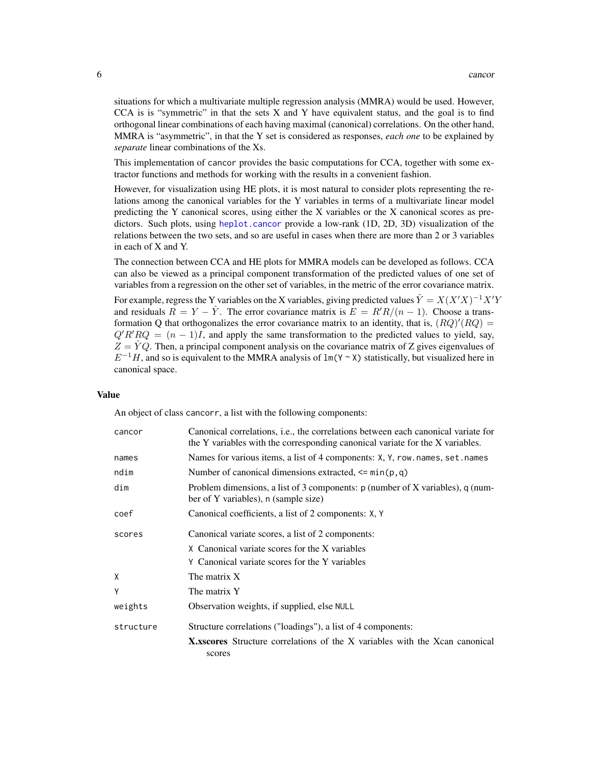<span id="page-5-0"></span>situations for which a multivariate multiple regression analysis (MMRA) would be used. However, CCA is is "symmetric" in that the sets  $X$  and  $Y$  have equivalent status, and the goal is to find orthogonal linear combinations of each having maximal (canonical) correlations. On the other hand, MMRA is "asymmetric", in that the Y set is considered as responses, *each one* to be explained by *separate* linear combinations of the Xs.

This implementation of cancor provides the basic computations for CCA, together with some extractor functions and methods for working with the results in a convenient fashion.

However, for visualization using HE plots, it is most natural to consider plots representing the relations among the canonical variables for the Y variables in terms of a multivariate linear model predicting the Y canonical scores, using either the X variables or the X canonical scores as predictors. Such plots, using [heplot.cancor](#page-16-1) provide a low-rank (1D, 2D, 3D) visualization of the relations between the two sets, and so are useful in cases when there are more than 2 or 3 variables in each of X and Y.

The connection between CCA and HE plots for MMRA models can be developed as follows. CCA can also be viewed as a principal component transformation of the predicted values of one set of variables from a regression on the other set of variables, in the metric of the error covariance matrix.

For example, regress the Y variables on the X variables, giving predicted values  $\hat{Y} = X(X'X)^{-1}X'Y$ and residuals  $R = Y - \hat{Y}$ . The error covariance matrix is  $E = R'R/(n-1)$ . Choose a transformation Q that orthogonalizes the error covariance matrix to an identity, that is,  $(RQ)'(RQ)$  =  $Q'R'RQ = (n-1)I$ , and apply the same transformation to the predicted values to yield, say,  $Z = \hat{Y}Q$ . Then, a principal component analysis on the covariance matrix of Z gives eigenvalues of  $E^{-1}H$ , and so is equivalent to the MMRA analysis of lm(Y ~ X) statistically, but visualized here in canonical space.

#### Value

An object of class cancorr, a list with the following components:

| cancor    | Canonical correlations, i.e., the correlations between each canonical variate for<br>the Y variables with the corresponding canonical variate for the X variables. |
|-----------|--------------------------------------------------------------------------------------------------------------------------------------------------------------------|
| names     | Names for various items, a list of 4 components: X, Y, row. names, set. names                                                                                      |
| ndim      | Number of canonical dimensions extracted, $\leq$ min(p,q)                                                                                                          |
| dim       | Problem dimensions, a list of 3 components: $p$ (number of X variables), $q$ (num-<br>ber of Y variables), n (sample size)                                         |
| coef      | Canonical coefficients, a list of 2 components: X, Y                                                                                                               |
| scores    | Canonical variate scores, a list of 2 components:                                                                                                                  |
|           | X Canonical variate scores for the X variables                                                                                                                     |
|           | Y Canonical variate scores for the Y variables                                                                                                                     |
| X         | The matrix X                                                                                                                                                       |
| Υ         | The matrix Y                                                                                                                                                       |
| weights   | Observation weights, if supplied, else NULL                                                                                                                        |
| structure | Structure correlations ("loadings"), a list of 4 components:                                                                                                       |
|           | <b>X</b> , x scores Structure correlations of the X variables with the X can canonical<br>scores                                                                   |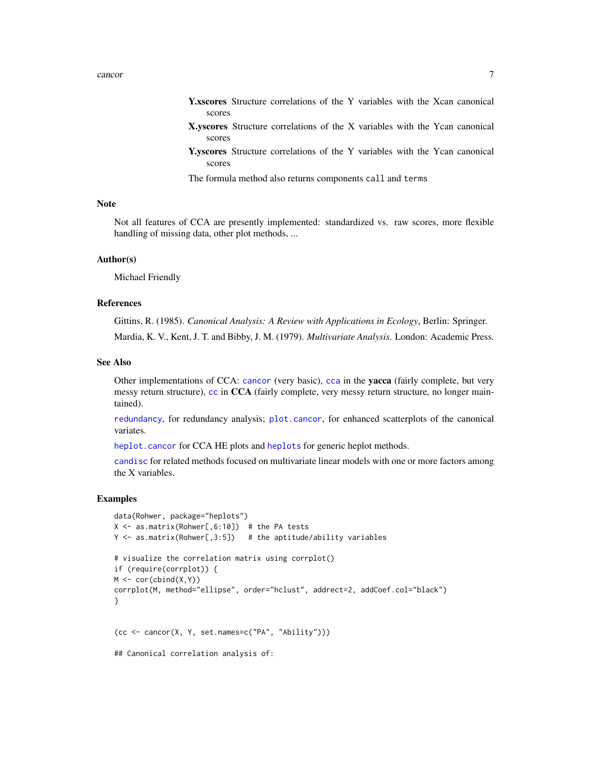- <span id="page-6-0"></span>Y.xscores Structure correlations of the Y variables with the Xcan canonical scores
- X.yscores Structure correlations of the X variables with the Ycan canonical scores
- Y.yscores Structure correlations of the Y variables with the Ycan canonical scores

The formula method also returns components call and terms

#### **Note**

Not all features of CCA are presently implemented: standardized vs. raw scores, more flexible handling of missing data, other plot methods, ...

#### Author(s)

Michael Friendly

#### References

Gittins, R. (1985). *Canonical Analysis: A Review with Applications in Ecology*, Berlin: Springer. Mardia, K. V., Kent, J. T. and Bibby, J. M. (1979). *Multivariate Analysis*. London: Academic Press.

#### See Also

Other implementations of CCA: [cancor](#page-3-1) (very basic), [cca](#page-0-0) in the yacca (fairly complete, but very messy return structure), [cc](#page-0-0) in CCA (fairly complete, very messy return structure, no longer maintained).

[redundancy](#page-26-1), for redundancy analysis; [plot.cancor](#page-24-1), for enhanced scatterplots of the canonical variates.

[heplot.cancor](#page-16-1) for CCA HE plots and [heplots](#page-0-0) for generic heplot methods.

[candisc](#page-8-2) for related methods focused on multivariate linear models with one or more factors among the X variables.

#### Examples

```
data(Rohwer, package="heplots")
X \le - as.matrix(Rohwer[,6:10]) # the PA tests
Y \leq -as.matrix(Rohwer[,3:5]) # the aptitude/ability variables
# visualize the correlation matrix using corrplot()
if (require(corrplot)) {
M \leftarrow cor(clind(X,Y))corrplot(M, method="ellipse", order="hclust", addrect=2, addCoef.col="black")
}
(cc <- cancor(X, Y, set.names=c("PA", "Ability")))
## Canonical correlation analysis of:
```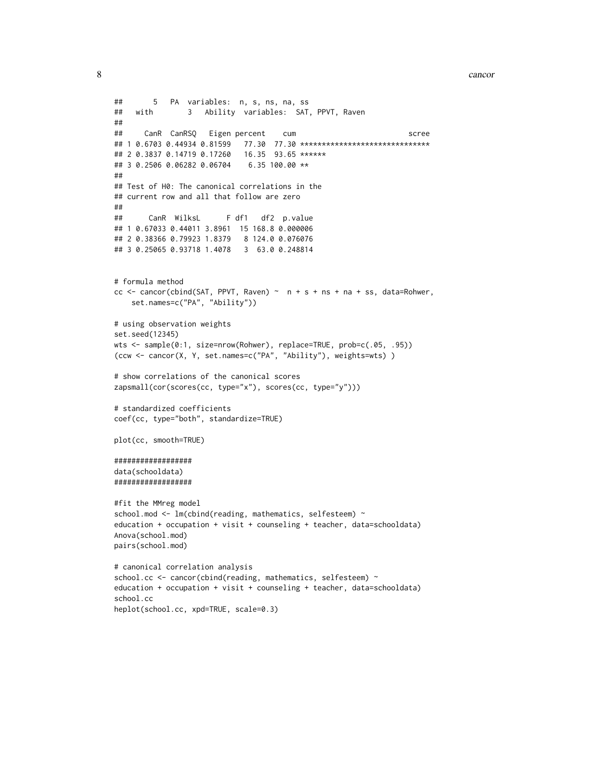```
8 cancor contract the contract of the contract of the contract of the contract of the contract of the contract of the contract of the contract of the contract of the contract of the contract of the contract of the contract
```

```
## 5 PA variables: n, s, ns, na, ss
## with 3 Ability variables: SAT, PPVT, Raven
##
## CanR CanRSQ Eigen percent cum scree
## 1 0.6703 0.44934 0.81599 77.30 77.30 ******************************
## 2 0.3837 0.14719 0.17260 16.35 93.65 ******
## 3 0.2506 0.06282 0.06704 6.35 100.00 **
##
## Test of H0: The canonical correlations in the
## current row and all that follow are zero
##
## CanR WilksL F df1 df2 p.value
## 1 0.67033 0.44011 3.8961 15 168.8 0.000006
## 2 0.38366 0.79923 1.8379 8 124.0 0.076076
## 3 0.25065 0.93718 1.4078 3 63.0 0.248814
# formula method
cc \leq cancor(cbind(SAT, PPVT, Raven) \sim n + s + ns + na + ss, data=Rohwer,
    set.names=c("PA", "Ability"))
# using observation weights
set.seed(12345)
wts <- sample(0:1, size=nrow(Rohwer), replace=TRUE, prob=c(.05, .95))
(ccw <- cancor(X, Y, set.names=c("PA", "Ability"), weights=wts) )
# show correlations of the canonical scores
zapsmall(cor(scores(cc, type="x"), scores(cc, type="y")))
# standardized coefficients
coef(cc, type="both", standardize=TRUE)
plot(cc, smooth=TRUE)
##################
data(schooldata)
##################
#fit the MMreg model
school.mod <- lm(cbind(reading, mathematics, selfesteem) ~
education + occupation + visit + counseling + teacher, data=schooldata)
Anova(school.mod)
pairs(school.mod)
# canonical correlation analysis
school.cc <- cancor(cbind(reading, mathematics, selfesteem) ~
education + occupation + visit + counseling + teacher, data=schooldata)
school.cc
heplot(school.cc, xpd=TRUE, scale=0.3)
```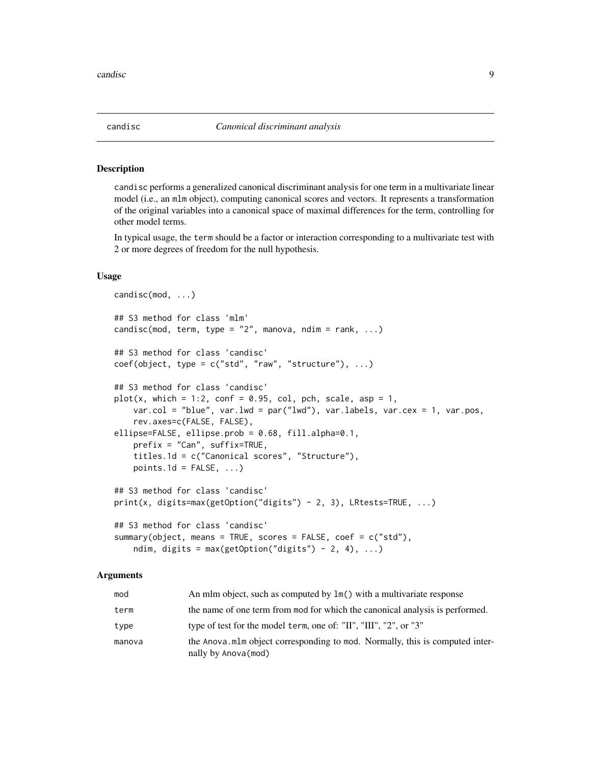## <span id="page-8-2"></span><span id="page-8-1"></span><span id="page-8-0"></span>**Description**

candisc performs a generalized canonical discriminant analysis for one term in a multivariate linear model (i.e., an mlm object), computing canonical scores and vectors. It represents a transformation of the original variables into a canonical space of maximal differences for the term, controlling for other model terms.

In typical usage, the term should be a factor or interaction corresponding to a multivariate test with 2 or more degrees of freedom for the null hypothesis.

# Usage

```
candisc(mod, ...)
## S3 method for class 'mlm'
candisc(mod, term, type = "2", manova, ndim = rank, ...)
## S3 method for class 'candisc'
coef(object, type = c("std", "raw", "structure"), ...)## S3 method for class 'candisc'
plot(x, which = 1:2, conf = 0.95, col, pch, scale, asp = 1,var.col = "blue", var.lwd = par("lwd"), var.labels, var.cex = 1, var.pos,
    rev.axes=c(FALSE, FALSE),
ellipse=FALSE, ellipse.prob = 0.68, fill.alpha=0.1,
    prefix = "Can", suffix=TRUE,
    titles.1d = c("Canonical scores", "Structure"),
    points.1d = FALSE, ...)## S3 method for class 'candisc'
print(x, digits=max(getOption("digits") - 2, 3), LRtests=TRUE, ...)
## S3 method for class 'candisc'
summary(object, means = TRUE, scores = FALSE, coef = c("std"),
    ndim, digits = max(getOption("digits") - 2, 4), ...
```
# Arguments

| mod    | An mlm object, such as computed by $lm()$ with a multivariate response                              |
|--------|-----------------------------------------------------------------------------------------------------|
| term   | the name of one term from mod for which the canonical analysis is performed.                        |
| type   | type of test for the model term, one of: "II", "III", "2", or "3"                                   |
| manova | the Anova mlm object corresponding to mod. Normally, this is computed inter-<br>nally by Anova(mod) |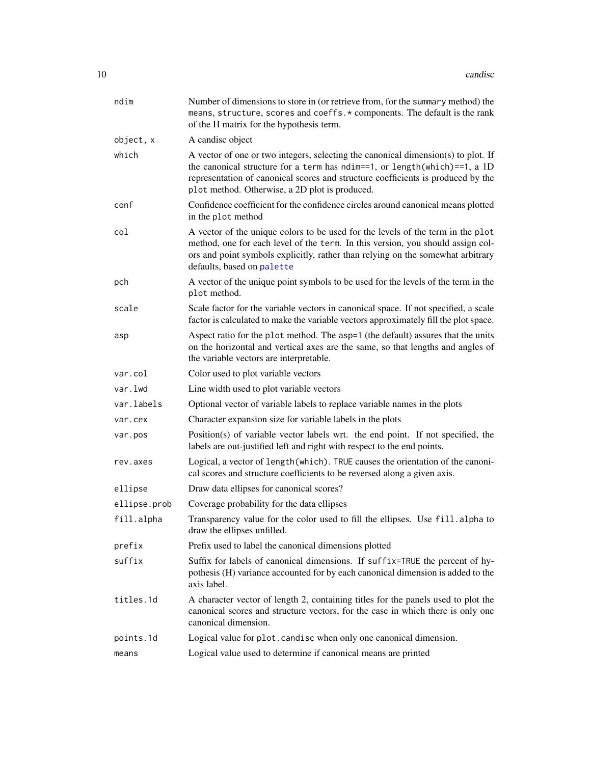<span id="page-9-0"></span>

| ndim         | Number of dimensions to store in (or retrieve from, for the summary method) the<br>means, structure, scores and coeffs. * components. The default is the rank<br>of the H matrix for the hypothesis term.                                                                                            |
|--------------|------------------------------------------------------------------------------------------------------------------------------------------------------------------------------------------------------------------------------------------------------------------------------------------------------|
| object, x    | A candisc object                                                                                                                                                                                                                                                                                     |
| which        | A vector of one or two integers, selecting the canonical dimension(s) to plot. If<br>the canonical structure for a term has ndim==1, or length(which)==1, a 1D<br>representation of canonical scores and structure coefficients is produced by the<br>plot method. Otherwise, a 2D plot is produced. |
| conf         | Confidence coefficient for the confidence circles around canonical means plotted<br>in the plot method                                                                                                                                                                                               |
| col          | A vector of the unique colors to be used for the levels of the term in the plot<br>method, one for each level of the term. In this version, you should assign col-<br>ors and point symbols explicitly, rather than relying on the somewhat arbitrary<br>defaults, based on palette                  |
| pch          | A vector of the unique point symbols to be used for the levels of the term in the<br>plot method.                                                                                                                                                                                                    |
| scale        | Scale factor for the variable vectors in canonical space. If not specified, a scale<br>factor is calculated to make the variable vectors approximately fill the plot space.                                                                                                                          |
| asp          | Aspect ratio for the plot method. The asp=1 (the default) assures that the units<br>on the horizontal and vertical axes are the same, so that lengths and angles of<br>the variable vectors are interpretable.                                                                                       |
| var.col      | Color used to plot variable vectors                                                                                                                                                                                                                                                                  |
| var.lwd      | Line width used to plot variable vectors                                                                                                                                                                                                                                                             |
| var.labels   | Optional vector of variable labels to replace variable names in the plots                                                                                                                                                                                                                            |
| var.cex      | Character expansion size for variable labels in the plots                                                                                                                                                                                                                                            |
| var.pos      | Position(s) of variable vector labels wrt. the end point. If not specified, the<br>labels are out-justified left and right with respect to the end points.                                                                                                                                           |
| rev.axes     | Logical, a vector of length (which). TRUE causes the orientation of the canoni-<br>cal scores and structure coefficients to be reversed along a given axis.                                                                                                                                          |
| ellipse      | Draw data ellipses for canonical scores?                                                                                                                                                                                                                                                             |
| ellipse.prob | Coverage probability for the data ellipses                                                                                                                                                                                                                                                           |
| fill.alpha   | Transparency value for the color used to fill the ellipses. Use fill.alpha to<br>draw the ellipses unfilled.                                                                                                                                                                                         |
| prefix       | Prefix used to label the canonical dimensions plotted                                                                                                                                                                                                                                                |
| suffix       | Suffix for labels of canonical dimensions. If suffix=TRUE the percent of hy-<br>pothesis (H) variance accounted for by each canonical dimension is added to the<br>axis label.                                                                                                                       |
| titles.1d    | A character vector of length 2, containing titles for the panels used to plot the<br>canonical scores and structure vectors, for the case in which there is only one<br>canonical dimension.                                                                                                         |
| points.1d    | Logical value for plot.candisc when only one canonical dimension.                                                                                                                                                                                                                                    |
| means        | Logical value used to determine if canonical means are printed                                                                                                                                                                                                                                       |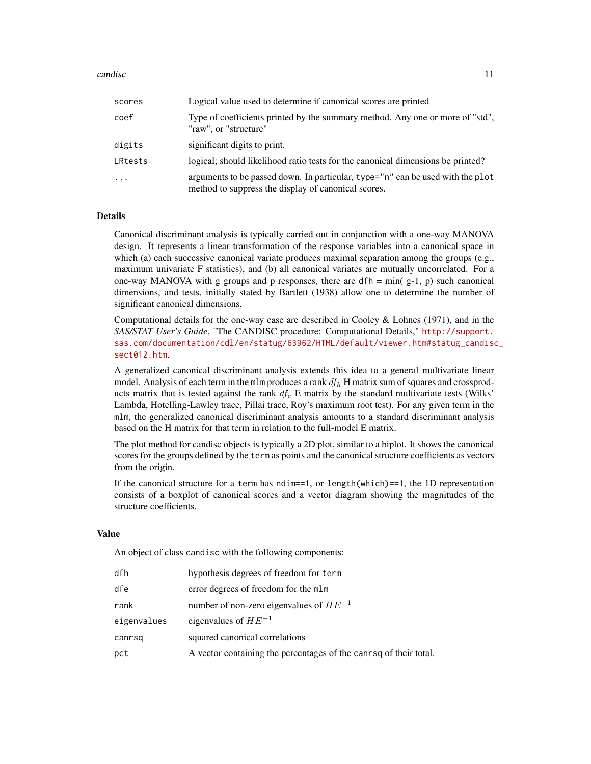#### candisc and  $\frac{11}{2}$

| scores     | Logical value used to determine if canonical scores are printed                                                                       |
|------------|---------------------------------------------------------------------------------------------------------------------------------------|
| coef       | Type of coefficients printed by the summary method. Any one or more of "std",<br>"raw", or "structure"                                |
| digits     | significant digits to print.                                                                                                          |
| LRtests    | logical; should likelihood ratio tests for the canonical dimensions be printed?                                                       |
| $\ddots$ . | arguments to be passed down. In particular, type="n" can be used with the plot<br>method to suppress the display of canonical scores. |

#### Details

Canonical discriminant analysis is typically carried out in conjunction with a one-way MANOVA design. It represents a linear transformation of the response variables into a canonical space in which (a) each successive canonical variate produces maximal separation among the groups (e.g., maximum univariate F statistics), and (b) all canonical variates are mutually uncorrelated. For a one-way MANOVA with g groups and p responses, there are  $dfh = min( g-1, p)$  such canonical dimensions, and tests, initially stated by Bartlett (1938) allow one to determine the number of significant canonical dimensions.

Computational details for the one-way case are described in Cooley & Lohnes (1971), and in the *SAS/STAT User's Guide*, "The CANDISC procedure: Computational Details," [http://support.](http://support.sas.com/documentation/cdl/en/statug/63962/HTML/default/viewer.htm#statug_candisc_sect012.htm) [sas.com/documentation/cdl/en/statug/63962/HTML/default/viewer.htm#statug\\_candisc](http://support.sas.com/documentation/cdl/en/statug/63962/HTML/default/viewer.htm#statug_candisc_sect012.htm)\_ [sect012.htm](http://support.sas.com/documentation/cdl/en/statug/63962/HTML/default/viewer.htm#statug_candisc_sect012.htm).

A generalized canonical discriminant analysis extends this idea to a general multivariate linear model. Analysis of each term in the mlm produces a rank  $df_h$  H matrix sum of squares and crossproducts matrix that is tested against the rank  $df_e$  E matrix by the standard multivariate tests (Wilks' Lambda, Hotelling-Lawley trace, Pillai trace, Roy's maximum root test). For any given term in the mlm, the generalized canonical discriminant analysis amounts to a standard discriminant analysis based on the H matrix for that term in relation to the full-model E matrix.

The plot method for candisc objects is typically a 2D plot, similar to a biplot. It shows the canonical scores for the groups defined by the term as points and the canonical structure coefficients as vectors from the origin.

If the canonical structure for a term has ndim==1, or length(which)==1, the 1D representation consists of a boxplot of canonical scores and a vector diagram showing the magnitudes of the structure coefficients.

#### Value

An object of class candisc with the following components:

| dfh         | hypothesis degrees of freedom for term                            |
|-------------|-------------------------------------------------------------------|
| dfe         | error degrees of freedom for the mlm                              |
| rank        | number of non-zero eigenvalues of $HE^{-1}$                       |
| eigenvalues | eigenvalues of $HE^{-1}$                                          |
| canrsq      | squared canonical correlations                                    |
| pct         | A vector containing the percentages of the canrsq of their total. |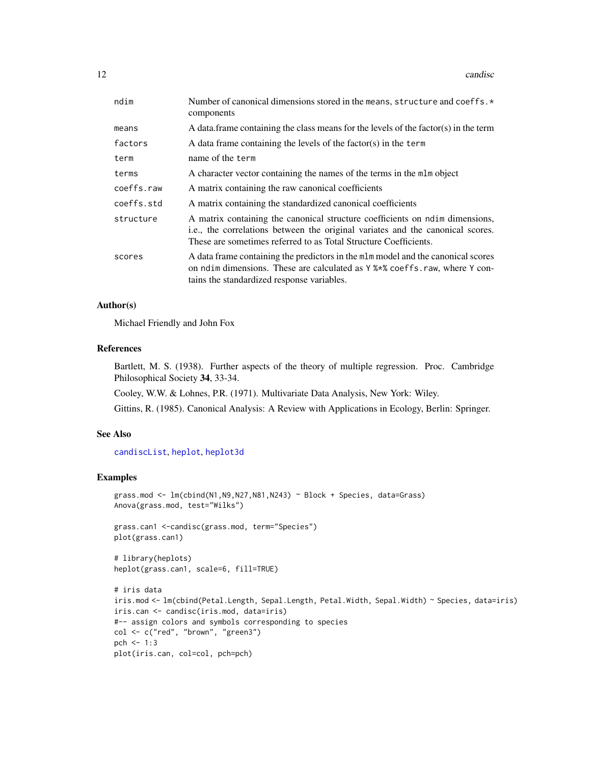<span id="page-11-0"></span>12 candisc conditions of the condition of the condition of the condition of the condition of the condition of the condition of the condition of the condition of the condition of the condition of the condition of the condit

| ndim       | Number of canonical dimensions stored in the means, structure and coeffs. *<br>components                                                                                                                                          |  |
|------------|------------------------------------------------------------------------------------------------------------------------------------------------------------------------------------------------------------------------------------|--|
| means      | A data frame containing the class means for the levels of the factor(s) in the term                                                                                                                                                |  |
| factors    | A data frame containing the levels of the factor(s) in the term                                                                                                                                                                    |  |
| term       | name of the term                                                                                                                                                                                                                   |  |
| terms      | A character vector containing the names of the terms in the mlm object                                                                                                                                                             |  |
| coeffs.raw | A matrix containing the raw canonical coefficients                                                                                                                                                                                 |  |
| coeffs.std | A matrix containing the standardized canonical coefficients                                                                                                                                                                        |  |
| structure  | A matrix containing the canonical structure coefficients on ndim dimensions,<br>i.e., the correlations between the original variates and the canonical scores.<br>These are sometimes referred to as Total Structure Coefficients. |  |
| scores     | A data frame containing the predictors in the mlm model and the canonical scores<br>on ndim dimensions. These are calculated as Y %*% coeffs.raw, where Y con-<br>tains the standardized response variables.                       |  |

#### Author(s)

Michael Friendly and John Fox

#### References

Bartlett, M. S. (1938). Further aspects of the theory of multiple regression. Proc. Cambridge Philosophical Society 34, 33-34.

Cooley, W.W. & Lohnes, P.R. (1971). Multivariate Data Analysis, New York: Wiley.

Gittins, R. (1985). Canonical Analysis: A Review with Applications in Ecology, Berlin: Springer.

### See Also

[candiscList](#page-12-1), [heplot](#page-0-0), [heplot3d](#page-0-0)

#### Examples

```
grass.mod <- lm(cbind(N1,N9,N27,N81,N243) ~ Block + Species, data=Grass)
Anova(grass.mod, test="Wilks")
grass.can1 <-candisc(grass.mod, term="Species")
plot(grass.can1)
# library(heplots)
heplot(grass.can1, scale=6, fill=TRUE)
# iris data
iris.mod <- lm(cbind(Petal.Length, Sepal.Length, Petal.Width, Sepal.Width) ~ Species, data=iris)
iris.can <- candisc(iris.mod, data=iris)
#-- assign colors and symbols corresponding to species
col <- c("red", "brown", "green3")
pch \leq -1:3plot(iris.can, col=col, pch=pch)
```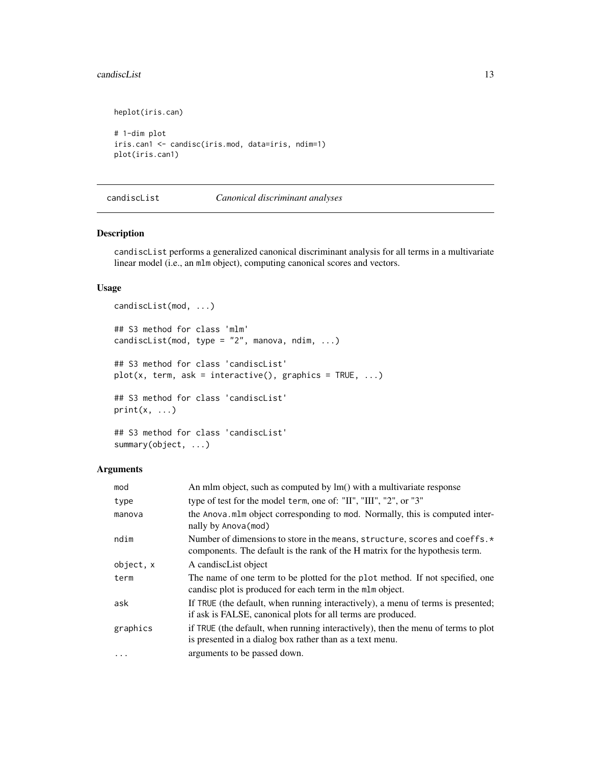#### <span id="page-12-0"></span>candiscList 13

```
heplot(iris.can)
# 1-dim plot
iris.can1 <- candisc(iris.mod, data=iris, ndim=1)
plot(iris.can1)
```
<span id="page-12-1"></span>candiscList *Canonical discriminant analyses*

# Description

candiscList performs a generalized canonical discriminant analysis for all terms in a multivariate linear model (i.e., an mlm object), computing canonical scores and vectors.

#### Usage

```
candiscList(mod, ...)
## S3 method for class 'mlm'
candiscList(mod, type = "2", manova, ndim, ...)
## S3 method for class 'candiscList'
plot(x, term, ask = interactive(), graphics = TRUE, ...)## S3 method for class 'candiscList'
print(x, \ldots)## S3 method for class 'candiscList'
```

```
summary(object, ...)
```
# Arguments

| mod       | An mlm object, such as computed by lm() with a multivariate response                                                                                              |  |
|-----------|-------------------------------------------------------------------------------------------------------------------------------------------------------------------|--|
| type      | type of test for the model term, one of: "II", "III", "2", or "3"                                                                                                 |  |
| manova    | the Anova mlm object corresponding to mod. Normally, this is computed inter-<br>nally by Anova (mod)                                                              |  |
| ndim      | Number of dimensions to store in the means, structure, scores and coeffs. $\star$<br>components. The default is the rank of the H matrix for the hypothesis term. |  |
| object, x | A candiscList object                                                                                                                                              |  |
| term      | The name of one term to be plotted for the plot method. If not specified, one<br>candisc plot is produced for each term in the mlm object.                        |  |
| ask       | If TRUE (the default, when running interactively), a menu of terms is presented;<br>if ask is FALSE, canonical plots for all terms are produced.                  |  |
| graphics  | if TRUE (the default, when running interactively), then the menu of terms to plot<br>is presented in a dialog box rather than as a text menu.                     |  |
| $\cdots$  | arguments to be passed down.                                                                                                                                      |  |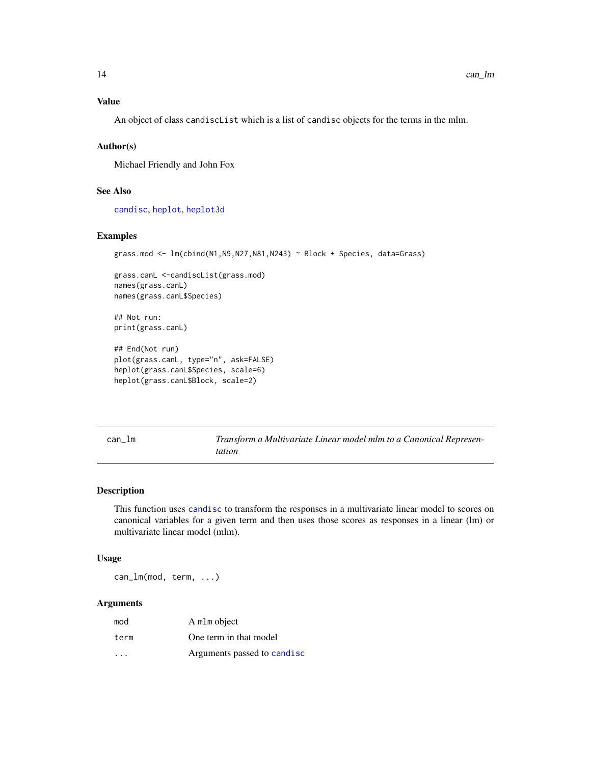### <span id="page-13-0"></span>Value

An object of class candiscList which is a list of candisc objects for the terms in the mlm.

#### Author(s)

Michael Friendly and John Fox

# See Also

[candisc](#page-8-2), [heplot](#page-0-0), [heplot3d](#page-0-0)

#### Examples

```
grass.mod <- lm(cbind(N1,N9,N27,N81,N243) ~ Block + Species, data=Grass)
```
grass.canL <-candiscList(grass.mod) names(grass.canL) names(grass.canL\$Species)

## Not run: print(grass.canL)

```
## End(Not run)
plot(grass.canL, type="n", ask=FALSE)
heplot(grass.canL$Species, scale=6)
heplot(grass.canL$Block, scale=2)
```
can\_lm *Transform a Multivariate Linear model mlm to a Canonical Representation*

#### Description

This function uses [candisc](#page-8-2) to transform the responses in a multivariate linear model to scores on canonical variables for a given term and then uses those scores as responses in a linear (lm) or multivariate linear model (mlm).

# Usage

can\_lm(mod, term, ...)

#### Arguments

| mod                     | A mlm object                |
|-------------------------|-----------------------------|
| term                    | One term in that model      |
| $\cdot$ $\cdot$ $\cdot$ | Arguments passed to candisc |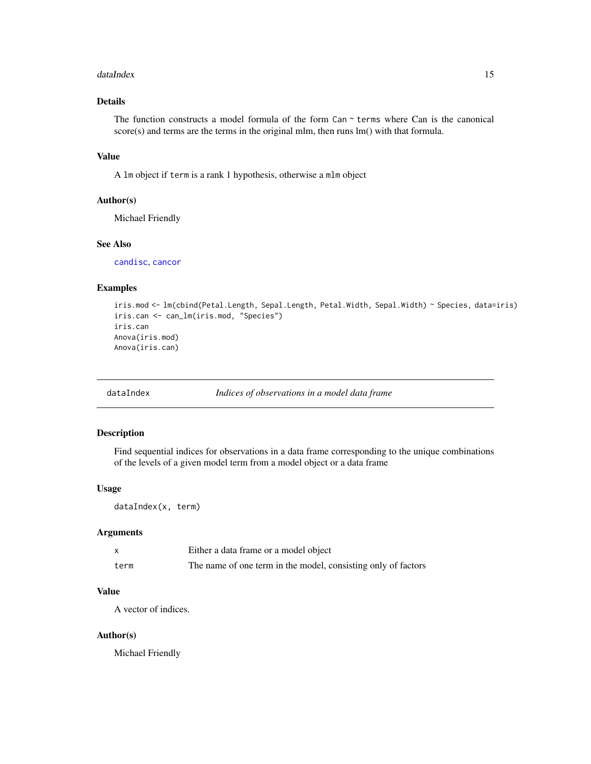#### <span id="page-14-0"></span>dataIndex 15

# Details

The function constructs a model formula of the form  $Can \sim terms$  where Can is the canonical score(s) and terms are the terms in the original mlm, then runs lm() with that formula.

# Value

A lm object if term is a rank 1 hypothesis, otherwise a mlm object

### Author(s)

Michael Friendly

#### See Also

[candisc](#page-8-2), [cancor](#page-3-1)

#### Examples

```
iris.mod <- lm(cbind(Petal.Length, Sepal.Length, Petal.Width, Sepal.Width) ~ Species, data=iris)
iris.can <- can_lm(iris.mod, "Species")
iris.can
Anova(iris.mod)
Anova(iris.can)
```
dataIndex *Indices of observations in a model data frame*

#### Description

Find sequential indices for observations in a data frame corresponding to the unique combinations of the levels of a given model term from a model object or a data frame

#### Usage

dataIndex(x, term)

# Arguments

|      | Either a data frame or a model object                         |
|------|---------------------------------------------------------------|
| term | The name of one term in the model, consisting only of factors |

# Value

A vector of indices.

#### Author(s)

Michael Friendly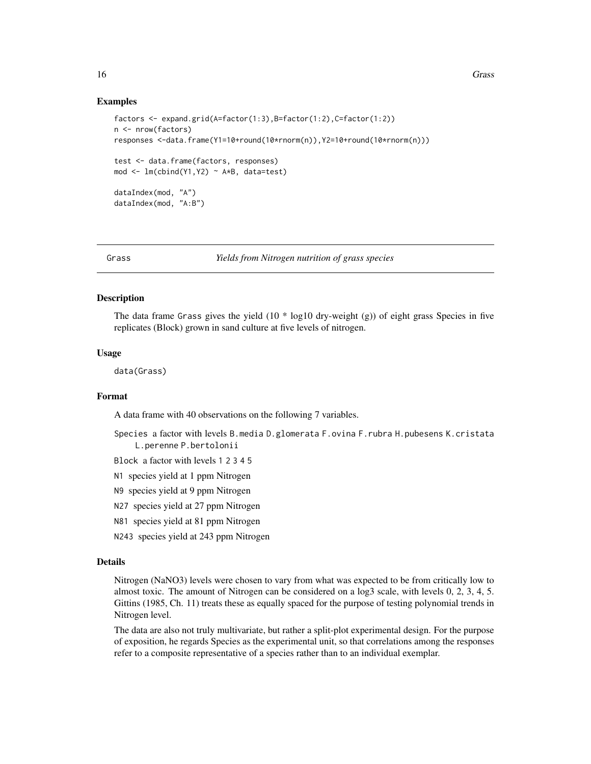#### Examples

```
factors <- expand.grid(A=factor(1:3),B=factor(1:2),C=factor(1:2))
n <- nrow(factors)
responses <-data.frame(Y1=10+round(10*rnorm(n)),Y2=10+round(10*rnorm(n)))
test <- data.frame(factors, responses)
mod <- lm(cbind(Y1,Y2) ~ A*B, data=test)
dataIndex(mod, "A")
dataIndex(mod, "A:B")
```
#### Grass *Yields from Nitrogen nutrition of grass species*

#### Description

The data frame Grass gives the yield  $(10 * log10$  dry-weight  $(g)$ ) of eight grass Species in five replicates (Block) grown in sand culture at five levels of nitrogen.

#### Usage

data(Grass)

#### Format

A data frame with 40 observations on the following 7 variables.

- Species a factor with levels B.media D.glomerata F.ovina F.rubra H.pubesens K.cristata L.perenne P.bertolonii
- Block a factor with levels 1 2 3 4 5
- N1 species yield at 1 ppm Nitrogen
- N9 species yield at 9 ppm Nitrogen
- N27 species yield at 27 ppm Nitrogen
- N81 species yield at 81 ppm Nitrogen
- N243 species yield at 243 ppm Nitrogen

#### Details

Nitrogen (NaNO3) levels were chosen to vary from what was expected to be from critically low to almost toxic. The amount of Nitrogen can be considered on a log3 scale, with levels 0, 2, 3, 4, 5. Gittins (1985, Ch. 11) treats these as equally spaced for the purpose of testing polynomial trends in Nitrogen level.

The data are also not truly multivariate, but rather a split-plot experimental design. For the purpose of exposition, he regards Species as the experimental unit, so that correlations among the responses refer to a composite representative of a species rather than to an individual exemplar.

<span id="page-15-0"></span>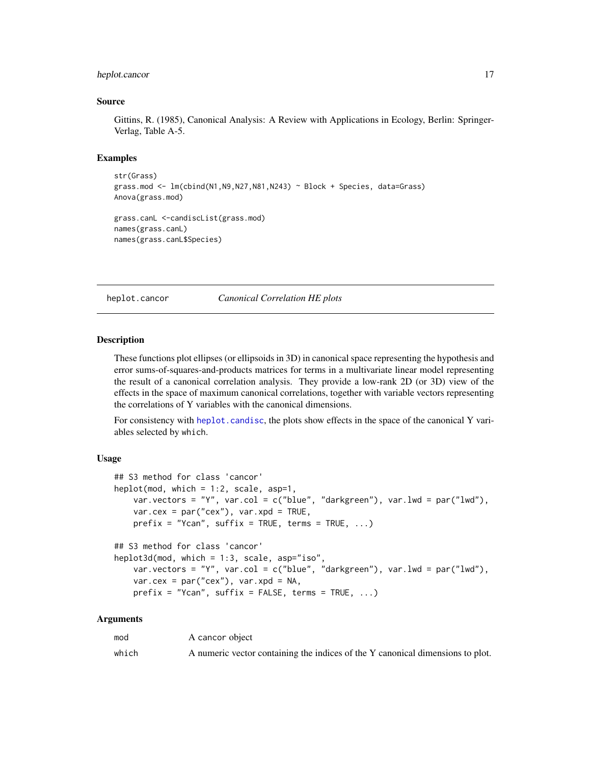#### <span id="page-16-0"></span>heplot.cancor 17

#### Source

Gittins, R. (1985), Canonical Analysis: A Review with Applications in Ecology, Berlin: Springer-Verlag, Table A-5.

# Examples

```
str(Grass)
grass.mod <- lm(clind(N1,N9,N27,N81,N243) \sim Block + Species, data=Grass)
Anova(grass.mod)
grass.canL <-candiscList(grass.mod)
names(grass.canL)
names(grass.canL$Species)
```
<span id="page-16-1"></span>heplot.cancor *Canonical Correlation HE plots*

#### <span id="page-16-2"></span>Description

These functions plot ellipses (or ellipsoids in 3D) in canonical space representing the hypothesis and error sums-of-squares-and-products matrices for terms in a multivariate linear model representing the result of a canonical correlation analysis. They provide a low-rank 2D (or 3D) view of the effects in the space of maximum canonical correlations, together with variable vectors representing the correlations of Y variables with the canonical dimensions.

For consistency with [heplot.candisc](#page-19-1), the plots show effects in the space of the canonical Y variables selected by which.

#### Usage

```
## S3 method for class 'cancor'
heplot(mod, which = 1:2, scale, asp=1,
   var.vectors = "Y", var.col = c("blue", "darkgreen"), var.lwd = par("lwd"),
   var.cex = par("cex"), var.xpd = TRUE,
   prefix = "Ycan", suffix = TRUE, terms = TRUE, ...)## S3 method for class 'cancor'
heplot3d(mod, which = 1:3, scale, asp="iso",
   var.vectors = "Y", var.col = c("blue", "darkgreen"), var.lwd = par("lwd"),
   var.cex = par("cex"), var.xpd = NA,
   prefix = "Ycan", suffix = FALSE, terms = TRUE, ...)
```
#### Arguments

| mod   | A cancor object                                                                |
|-------|--------------------------------------------------------------------------------|
| which | A numeric vector containing the indices of the Y canonical dimensions to plot. |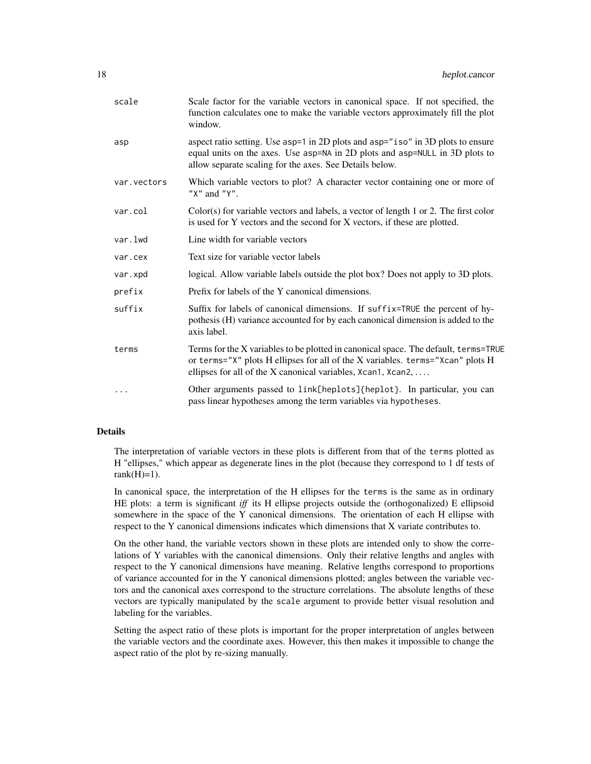| scale       | Scale factor for the variable vectors in canonical space. If not specified, the<br>function calculates one to make the variable vectors approximately fill the plot<br>window.                                                        |
|-------------|---------------------------------------------------------------------------------------------------------------------------------------------------------------------------------------------------------------------------------------|
| asp         | aspect ratio setting. Use asp=1 in 2D plots and asp="iso" in 3D plots to ensure<br>equal units on the axes. Use asp=NA in 2D plots and asp=NULL in 3D plots to<br>allow separate scaling for the axes. See Details below.             |
| var.vectors | Which variable vectors to plot? A character vector containing one or more of<br>" $X$ " and " $Y$ ".                                                                                                                                  |
| var.col     | $Color(s)$ for variable vectors and labels, a vector of length 1 or 2. The first color<br>is used for Y vectors and the second for X vectors, if these are plotted.                                                                   |
| var.lwd     | Line width for variable vectors                                                                                                                                                                                                       |
| var.cex     | Text size for variable vector labels                                                                                                                                                                                                  |
| var.xpd     | logical. Allow variable labels outside the plot box? Does not apply to 3D plots.                                                                                                                                                      |
| prefix      | Prefix for labels of the Y canonical dimensions.                                                                                                                                                                                      |
| suffix      | Suffix for labels of canonical dimensions. If suffix=TRUE the percent of hy-<br>pothesis (H) variance accounted for by each canonical dimension is added to the<br>axis label.                                                        |
| terms       | Terms for the X variables to be plotted in canonical space. The default, terms=TRUE<br>or terms="X" plots H ellipses for all of the X variables. terms="Xcan" plots H<br>ellipses for all of the X canonical variables, Xcan1, Xcan2, |
| $\cdots$    | Other arguments passed to link[heplots]{heplot}. In particular, you can<br>pass linear hypotheses among the term variables via hypotheses.                                                                                            |

#### Details

The interpretation of variable vectors in these plots is different from that of the terms plotted as H "ellipses," which appear as degenerate lines in the plot (because they correspond to 1 df tests of rank $(H)=1$ ).

In canonical space, the interpretation of the H ellipses for the terms is the same as in ordinary HE plots: a term is significant *iff* its H ellipse projects outside the (orthogonalized) E ellipsoid somewhere in the space of the Y canonical dimensions. The orientation of each H ellipse with respect to the Y canonical dimensions indicates which dimensions that X variate contributes to.

On the other hand, the variable vectors shown in these plots are intended only to show the correlations of Y variables with the canonical dimensions. Only their relative lengths and angles with respect to the Y canonical dimensions have meaning. Relative lengths correspond to proportions of variance accounted for in the Y canonical dimensions plotted; angles between the variable vectors and the canonical axes correspond to the structure correlations. The absolute lengths of these vectors are typically manipulated by the scale argument to provide better visual resolution and labeling for the variables.

Setting the aspect ratio of these plots is important for the proper interpretation of angles between the variable vectors and the coordinate axes. However, this then makes it impossible to change the aspect ratio of the plot by re-sizing manually.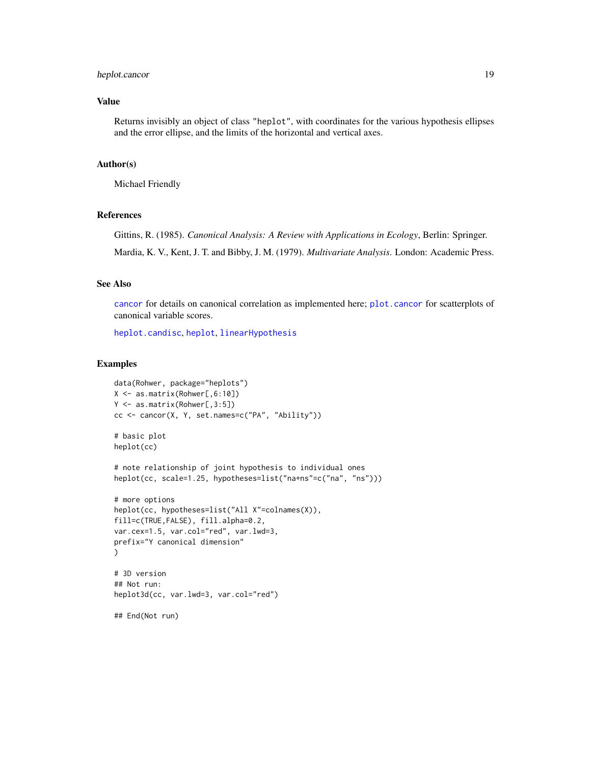# <span id="page-18-0"></span>heplot.cancor 19

#### Value

Returns invisibly an object of class "heplot", with coordinates for the various hypothesis ellipses and the error ellipse, and the limits of the horizontal and vertical axes.

# Author(s)

Michael Friendly

#### References

Gittins, R. (1985). *Canonical Analysis: A Review with Applications in Ecology*, Berlin: Springer.

Mardia, K. V., Kent, J. T. and Bibby, J. M. (1979). *Multivariate Analysis*. London: Academic Press.

#### See Also

[cancor](#page-3-1) for details on canonical correlation as implemented here; [plot.cancor](#page-24-1) for scatterplots of canonical variable scores.

[heplot.candisc](#page-19-1), [heplot](#page-0-0), [linearHypothesis](#page-0-0)

#### Examples

```
data(Rohwer, package="heplots")
X <- as.matrix(Rohwer[,6:10])
Y <- as.matrix(Rohwer[,3:5])
cc <- cancor(X, Y, set.names=c("PA", "Ability"))
# basic plot
heplot(cc)
# note relationship of joint hypothesis to individual ones
heplot(cc, scale=1.25, hypotheses=list("na+ns"=c("na", "ns")))
# more options
heplot(cc, hypotheses=list("All X"=colnames(X)),
fill=c(TRUE,FALSE), fill.alpha=0.2,
var.cex=1.5, var.col="red", var.lwd=3,
prefix="Y canonical dimension"
\mathcal{L}# 3D version
## Not run:
heplot3d(cc, var.lwd=3, var.col="red")
## End(Not run)
```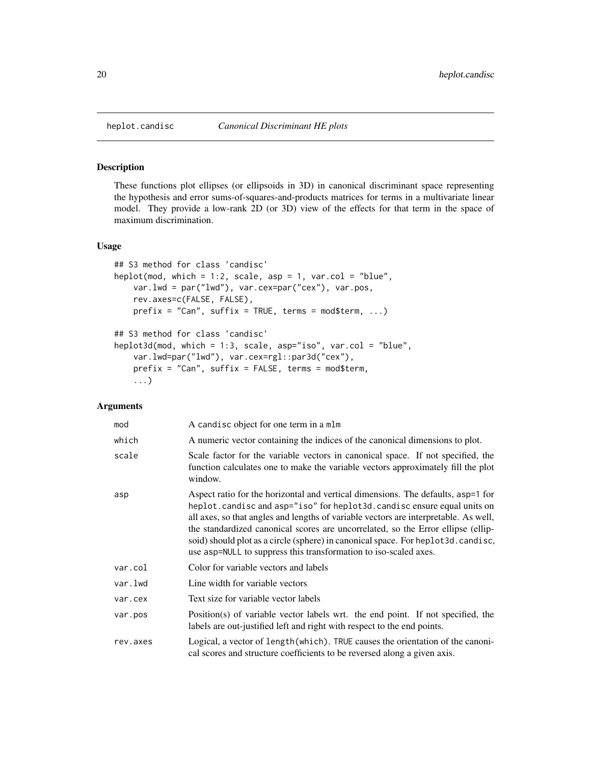<span id="page-19-1"></span><span id="page-19-0"></span>

#### <span id="page-19-2"></span>Description

These functions plot ellipses (or ellipsoids in 3D) in canonical discriminant space representing the hypothesis and error sums-of-squares-and-products matrices for terms in a multivariate linear model. They provide a low-rank 2D (or 3D) view of the effects for that term in the space of maximum discrimination.

#### Usage

```
## S3 method for class 'candisc'
heplot(mod, which = 1:2, scale, asp = 1, var.col = "blue",
   var.lwd = par("lwd"), var.cex=par("cex"), var.pos,
   rev.axes=c(FALSE, FALSE),
   prefix = "Can", suffix = TRUE, terms = mod$term, ...)## S3 method for class 'candisc'
heplot3d(mod, which = 1:3, scale, asp="iso", var.col = "blue",
   var.lwd=par("lwd"), var.cex=rgl::par3d("cex"),
   prefix = "Can", suffix = FALSE, terms = mod$term,
    ...)
```
#### Arguments

| mod      | A candisc object for one term in a mlm                                                                                                                                                                                                                                                                                                                                                                                                                                                          |
|----------|-------------------------------------------------------------------------------------------------------------------------------------------------------------------------------------------------------------------------------------------------------------------------------------------------------------------------------------------------------------------------------------------------------------------------------------------------------------------------------------------------|
| which    | A numeric vector containing the indices of the canonical dimensions to plot.                                                                                                                                                                                                                                                                                                                                                                                                                    |
| scale    | Scale factor for the variable vectors in canonical space. If not specified, the<br>function calculates one to make the variable vectors approximately fill the plot<br>window.                                                                                                                                                                                                                                                                                                                  |
| asp      | Aspect ratio for the horizontal and vertical dimensions. The defaults, asp=1 for<br>heplot.candisc and asp="iso" for heplot3d.candisc ensure equal units on<br>all axes, so that angles and lengths of variable vectors are interpretable. As well,<br>the standardized canonical scores are uncorrelated, so the Error ellipse (ellip-<br>soid) should plot as a circle (sphere) in canonical space. For heplot3d.candisc,<br>use asp=NULL to suppress this transformation to iso-scaled axes. |
| var.col  | Color for variable vectors and labels                                                                                                                                                                                                                                                                                                                                                                                                                                                           |
| var.lwd  | Line width for variable vectors                                                                                                                                                                                                                                                                                                                                                                                                                                                                 |
| var.cex  | Text size for variable vector labels                                                                                                                                                                                                                                                                                                                                                                                                                                                            |
| var.pos  | Position(s) of variable vector labels wrt. the end point. If not specified, the<br>labels are out-justified left and right with respect to the end points.                                                                                                                                                                                                                                                                                                                                      |
| rev.axes | Logical, a vector of length(which). TRUE causes the orientation of the canoni-<br>cal scores and structure coefficients to be reversed along a given axis.                                                                                                                                                                                                                                                                                                                                      |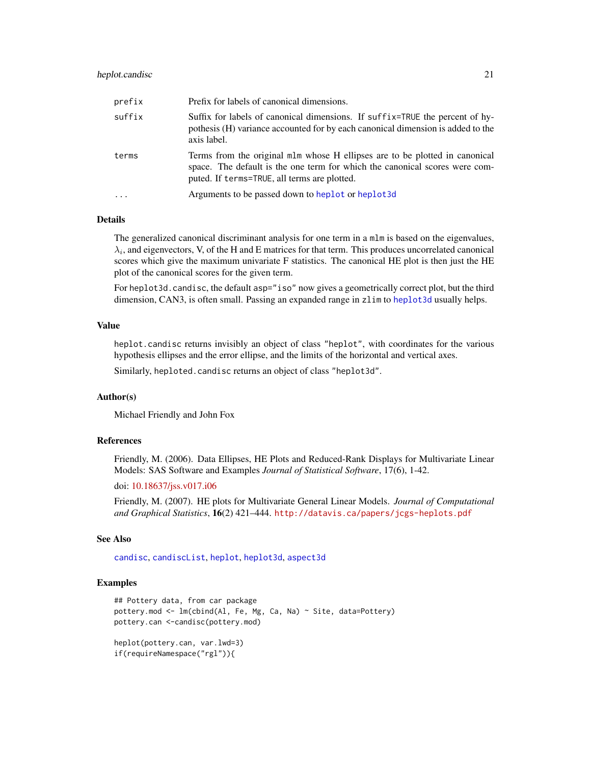#### <span id="page-20-0"></span>heplot.candisc 21

| prefix | Prefix for labels of canonical dimensions.                                                                                                                                                                 |
|--------|------------------------------------------------------------------------------------------------------------------------------------------------------------------------------------------------------------|
| suffix | Suffix for labels of canonical dimensions. If suffix=TRUE the percent of hy-<br>pothesis (H) variance accounted for by each canonical dimension is added to the<br>axis label.                             |
| terms  | Terms from the original mlm whose H ellipses are to be plotted in canonical<br>space. The default is the one term for which the canonical scores were com-<br>puted. If terms=TRUE, all terms are plotted. |
|        | Arguments to be passed down to heplot or heplot3d                                                                                                                                                          |

# Details

The generalized canonical discriminant analysis for one term in a mlm is based on the eigenvalues,  $\lambda_i$ , and eigenvectors, V, of the H and E matrices for that term. This produces uncorrelated canonical scores which give the maximum univariate F statistics. The canonical HE plot is then just the HE plot of the canonical scores for the given term.

For heplot3d.candisc, the default asp="iso" now gives a geometrically correct plot, but the third dimension, CAN3, is often small. Passing an expanded range in zlim to [heplot3d](#page-0-0) usually helps.

#### Value

heplot.candisc returns invisibly an object of class "heplot", with coordinates for the various hypothesis ellipses and the error ellipse, and the limits of the horizontal and vertical axes.

Similarly, heploted.candisc returns an object of class "heplot3d".

#### Author(s)

Michael Friendly and John Fox

#### References

Friendly, M. (2006). Data Ellipses, HE Plots and Reduced-Rank Displays for Multivariate Linear Models: SAS Software and Examples *Journal of Statistical Software*, 17(6), 1-42.

doi: [10.18637/jss.v017.i06](https://doi.org/10.18637/jss.v017.i06)

Friendly, M. (2007). HE plots for Multivariate General Linear Models. *Journal of Computational and Graphical Statistics*, 16(2) 421–444. <http://datavis.ca/papers/jcgs-heplots.pdf>

#### See Also

[candisc](#page-8-2), [candiscList](#page-12-1), [heplot](#page-0-0), [heplot3d](#page-0-0), [aspect3d](#page-0-0)

#### Examples

```
## Pottery data, from car package
pottery.mod <- lm(cbind(Al, Fe, Mg, Ca, Na) ~ Site, data=Pottery)
pottery.can <-candisc(pottery.mod)
heplot(pottery.can, var.lwd=3)
if(requireNamespace("rgl")){
```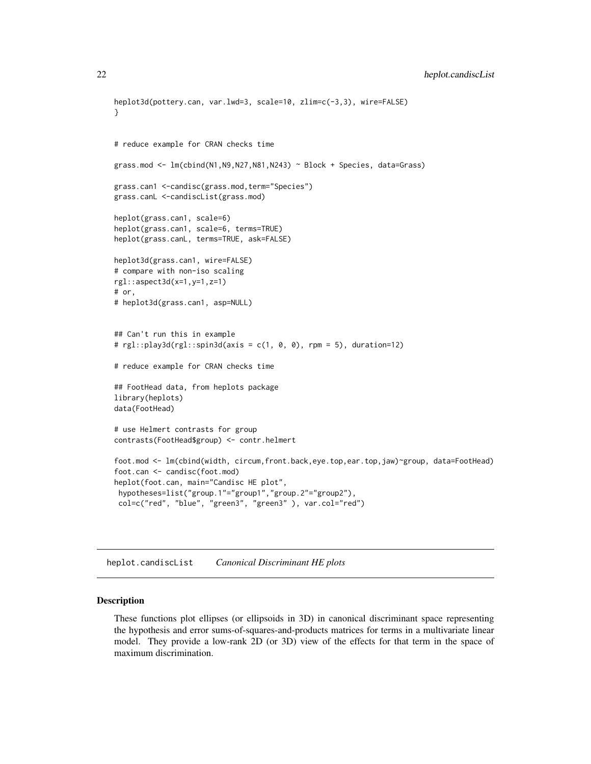```
heplot3d(pottery.can, var.lwd=3, scale=10, zlim=c(-3,3), wire=FALSE)
}
# reduce example for CRAN checks time
grass.mod <- lm(cbind(N1,N9,N27,N81,N243) ~ Block + Species, data=Grass)
grass.can1 <-candisc(grass.mod,term="Species")
grass.canL <-candiscList(grass.mod)
heplot(grass.can1, scale=6)
heplot(grass.can1, scale=6, terms=TRUE)
heplot(grass.canL, terms=TRUE, ask=FALSE)
heplot3d(grass.can1, wire=FALSE)
# compare with non-iso scaling
rgl::aspect3d(x=1,y=1,z=1)
# or,
# heplot3d(grass.can1, asp=NULL)
## Can't run this in example
# rgl::play3d(rgl::spin3d(axis = c(1, 0, 0), rpm = 5), duration=12)# reduce example for CRAN checks time
## FootHead data, from heplots package
library(heplots)
data(FootHead)
# use Helmert contrasts for group
contrasts(FootHead$group) <- contr.helmert
foot.mod <- lm(cbind(width, circum,front.back,eye.top,ear.top,jaw)~group, data=FootHead)
foot.can <- candisc(foot.mod)
heplot(foot.can, main="Candisc HE plot",
hypotheses=list("group.1"="group1","group.2"="group2"),
col=c("red", "blue", "green3", "green3" ), var.col="red")
```
heplot.candiscList *Canonical Discriminant HE plots*

#### **Description**

These functions plot ellipses (or ellipsoids in 3D) in canonical discriminant space representing the hypothesis and error sums-of-squares-and-products matrices for terms in a multivariate linear model. They provide a low-rank 2D (or 3D) view of the effects for that term in the space of maximum discrimination.

<span id="page-21-0"></span>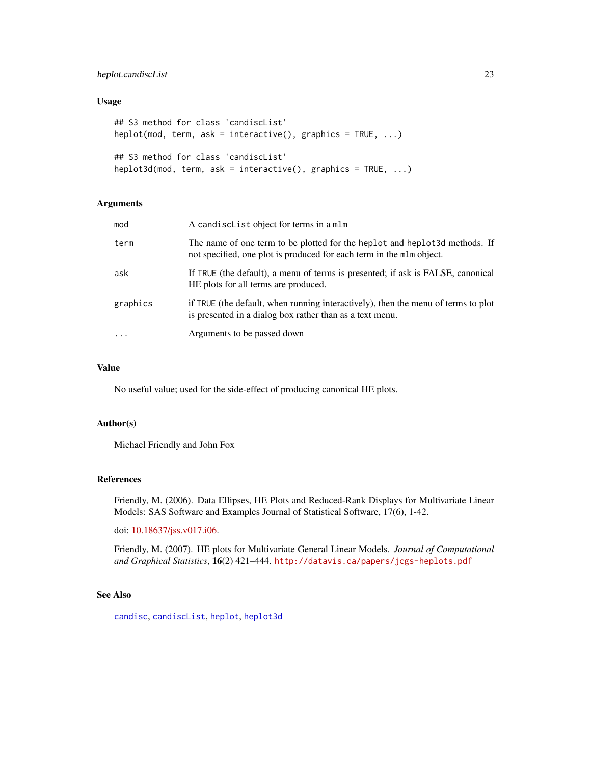# <span id="page-22-0"></span>heplot.candiscList 23

# Usage

```
## S3 method for class 'candiscList'
heplot(mod, term, ask = interactive(), graphics = TRUE, ...)
## S3 method for class 'candiscList'
heplot3d(mod, term, ask = interactive(), graphics = TRUE, ...)
```
#### Arguments

| mod                     | A candisclist object for terms in a mlm                                                                                                             |
|-------------------------|-----------------------------------------------------------------------------------------------------------------------------------------------------|
| term                    | The name of one term to be plotted for the heplot and heplot 3d methods. If<br>not specified, one plot is produced for each term in the mlm object. |
| ask                     | If TRUE (the default), a menu of terms is presented; if ask is FALSE, canonical<br>HE plots for all terms are produced.                             |
| graphics                | if TRUE (the default, when running interactively), then the menu of terms to plot<br>is presented in a dialog box rather than as a text menu.       |
| $\cdot$ $\cdot$ $\cdot$ | Arguments to be passed down                                                                                                                         |

# Value

No useful value; used for the side-effect of producing canonical HE plots.

## Author(s)

Michael Friendly and John Fox

#### References

Friendly, M. (2006). Data Ellipses, HE Plots and Reduced-Rank Displays for Multivariate Linear Models: SAS Software and Examples Journal of Statistical Software, 17(6), 1-42.

doi: [10.18637/jss.v017.i06.](https://doi.org/10.18637/jss.v017.i06)

Friendly, M. (2007). HE plots for Multivariate General Linear Models. *Journal of Computational and Graphical Statistics*, 16(2) 421–444. <http://datavis.ca/papers/jcgs-heplots.pdf>

# See Also

[candisc](#page-8-2), [candiscList](#page-12-1), [heplot](#page-0-0), [heplot3d](#page-0-0)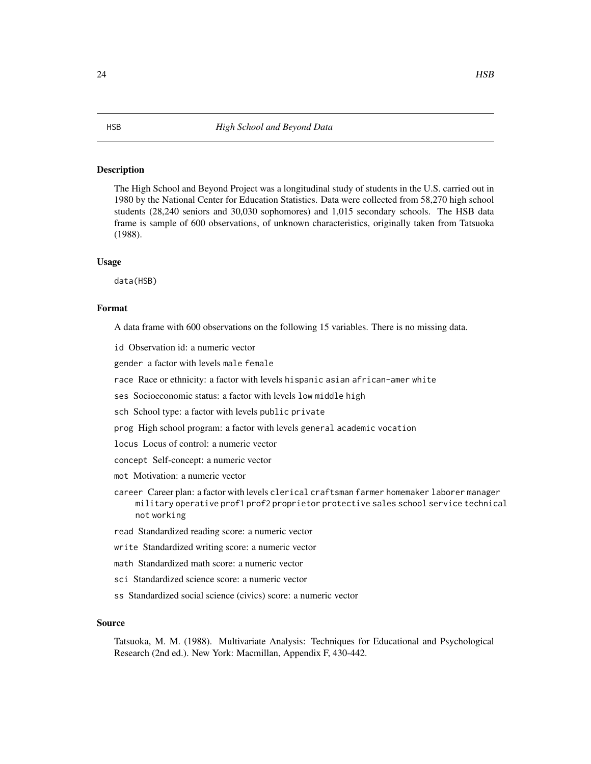#### Description

The High School and Beyond Project was a longitudinal study of students in the U.S. carried out in 1980 by the National Center for Education Statistics. Data were collected from 58,270 high school students (28,240 seniors and 30,030 sophomores) and 1,015 secondary schools. The HSB data frame is sample of 600 observations, of unknown characteristics, originally taken from Tatsuoka (1988).

#### Usage

data(HSB)

#### Format

A data frame with 600 observations on the following 15 variables. There is no missing data.

- id Observation id: a numeric vector
- gender a factor with levels male female
- race Race or ethnicity: a factor with levels hispanic asian african-amer white
- ses Socioeconomic status: a factor with levels low middle high
- sch School type: a factor with levels public private
- prog High school program: a factor with levels general academic vocation
- locus Locus of control: a numeric vector
- concept Self-concept: a numeric vector
- mot Motivation: a numeric vector
- career Career plan: a factor with levels clerical craftsman farmer homemaker laborer manager military operative prof1 prof2 proprietor protective sales school service technical not working
- read Standardized reading score: a numeric vector
- write Standardized writing score: a numeric vector
- math Standardized math score: a numeric vector
- sci Standardized science score: a numeric vector
- ss Standardized social science (civics) score: a numeric vector

#### Source

Tatsuoka, M. M. (1988). Multivariate Analysis: Techniques for Educational and Psychological Research (2nd ed.). New York: Macmillan, Appendix F, 430-442.

<span id="page-23-0"></span>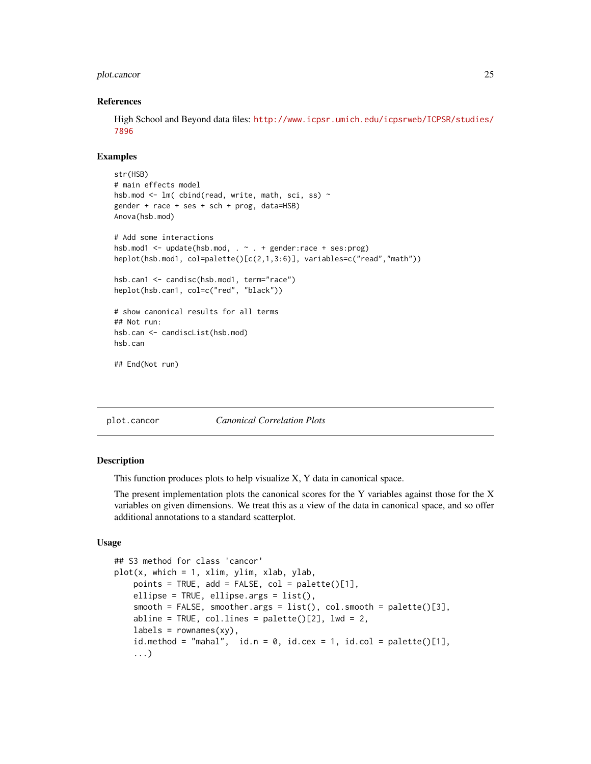#### <span id="page-24-0"></span>plot.cancor 25

#### References

High School and Beyond data files: [http://www.icpsr.umich.edu/icpsrweb/ICPSR/studies/](http://www.icpsr.umich.edu/icpsrweb/ICPSR/studies/7896) [7896](http://www.icpsr.umich.edu/icpsrweb/ICPSR/studies/7896)

#### Examples

```
str(HSB)
# main effects model
hsb.mod <- lm( cbind(read, write, math, sci, ss) ~
gender + race + ses + sch + prog, data=HSB)
Anova(hsb.mod)
# Add some interactions
hsb.mod1 <- update(hsb.mod, . ~ . + gender:race + ses:prog)
heplot(hsb.mod1, col=palette()[c(2,1,3:6)], variables=c("read","math"))
hsb.can1 <- candisc(hsb.mod1, term="race")
heplot(hsb.can1, col=c("red", "black"))
# show canonical results for all terms
## Not run:
hsb.can <- candiscList(hsb.mod)
hsb.can
## End(Not run)
```
<span id="page-24-1"></span>plot.cancor *Canonical Correlation Plots*

#### Description

This function produces plots to help visualize X, Y data in canonical space.

The present implementation plots the canonical scores for the Y variables against those for the X variables on given dimensions. We treat this as a view of the data in canonical space, and so offer additional annotations to a standard scatterplot.

## Usage

```
## S3 method for class 'cancor'
plot(x, which = 1, xlim, ylim, xlab, ylab,points = TRUE, add = FALSE, col = palette()[1],ellipse = TRUE, ellipse.args = list().
   smooth = FALSE, smooth: args = list(), colsmooth = plate()abline = TRUE, col.lines = palette([2], lwd = 2,
   labels = rownames(xy),
   id.method = "mahal", id.n = 0, id.cex = 1, id.col = palette([1],
    ...)
```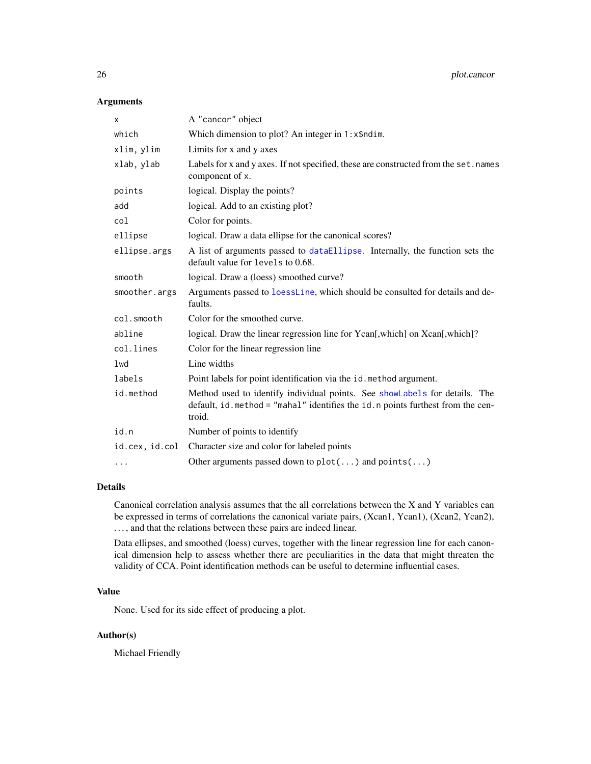# <span id="page-25-0"></span>Arguments

| A "cancor" object                                                                                                                                                        |  |
|--------------------------------------------------------------------------------------------------------------------------------------------------------------------------|--|
| Which dimension to plot? An integer in 1: x\$ndim.                                                                                                                       |  |
| Limits for x and y axes                                                                                                                                                  |  |
| Labels for x and y axes. If not specified, these are constructed from the set. names<br>component of x.                                                                  |  |
| logical. Display the points?                                                                                                                                             |  |
| logical. Add to an existing plot?                                                                                                                                        |  |
| Color for points.                                                                                                                                                        |  |
| logical. Draw a data ellipse for the canonical scores?                                                                                                                   |  |
| A list of arguments passed to dataEllipse. Internally, the function sets the<br>default value for levels to 0.68.                                                        |  |
| logical. Draw a (loess) smoothed curve?                                                                                                                                  |  |
| Arguments passed to loessLine, which should be consulted for details and de-<br>faults.                                                                                  |  |
| Color for the smoothed curve.                                                                                                                                            |  |
| logical. Draw the linear regression line for Ycan[,which] on Xcan[,which]?                                                                                               |  |
| Color for the linear regression line                                                                                                                                     |  |
| Line widths                                                                                                                                                              |  |
| Point labels for point identification via the id. method argument.                                                                                                       |  |
| Method used to identify individual points. See showLabels for details. The<br>default, id. method = "mahal" identifies the id. n points furthest from the cen-<br>troid. |  |
| Number of points to identify                                                                                                                                             |  |
| Character size and color for labeled points                                                                                                                              |  |
| Other arguments passed down to $plot()$ and $points()$                                                                                                                   |  |
|                                                                                                                                                                          |  |

# Details

Canonical correlation analysis assumes that the all correlations between the X and Y variables can be expressed in terms of correlations the canonical variate pairs, (Xcan1, Ycan1), (Xcan2, Ycan2), ..., and that the relations between these pairs are indeed linear.

Data ellipses, and smoothed (loess) curves, together with the linear regression line for each canonical dimension help to assess whether there are peculiarities in the data that might threaten the validity of CCA. Point identification methods can be useful to determine influential cases.

# Value

None. Used for its side effect of producing a plot.

# Author(s)

Michael Friendly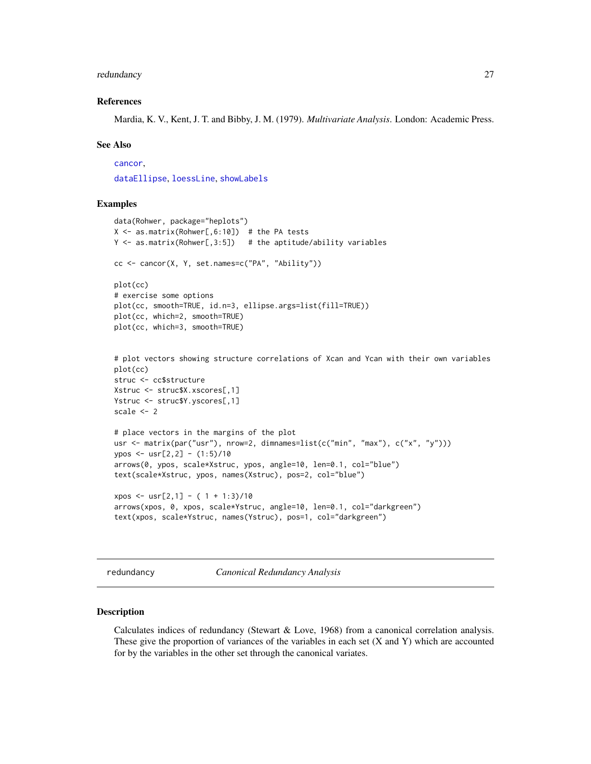#### <span id="page-26-0"></span>redundancy 27

#### References

Mardia, K. V., Kent, J. T. and Bibby, J. M. (1979). *Multivariate Analysis*. London: Academic Press.

#### See Also

[cancor](#page-3-1),

[dataEllipse](#page-0-0), [loessLine](#page-0-0), [showLabels](#page-0-0)

#### Examples

```
data(Rohwer, package="heplots")
X \le - as.matrix(Rohwer[,6:10]) # the PA tests
Y \leq -as.matrix(Rohwer[,3:5]) # the aptitude/ability variables
cc <- cancor(X, Y, set.names=c("PA", "Ability"))
plot(cc)
# exercise some options
plot(cc, smooth=TRUE, id.n=3, ellipse.args=list(fill=TRUE))
plot(cc, which=2, smooth=TRUE)
plot(cc, which=3, smooth=TRUE)
# plot vectors showing structure correlations of Xcan and Ycan with their own variables
plot(cc)
struc <- cc$structure
Xstruc <- struc$X.xscores[,1]
Ystruc <- struc$Y.yscores[,1]
scale <- 2
# place vectors in the margins of the plot
usr <- matrix(par("usr"), nrow=2, dimnames=list(c("min", "max"), c("x", "y")))
ypos <- usr[2,2] - (1:5)/10
arrows(0, ypos, scale*Xstruc, ypos, angle=10, len=0.1, col="blue")
text(scale*Xstruc, ypos, names(Xstruc), pos=2, col="blue")
xpos \leftarrow urs[2,1] - (1 + 1:3)/10arrows(xpos, 0, xpos, scale*Ystruc, angle=10, len=0.1, col="darkgreen")
text(xpos, scale*Ystruc, names(Ystruc), pos=1, col="darkgreen")
```
<span id="page-26-1"></span>redundancy *Canonical Redundancy Analysis*

#### Description

Calculates indices of redundancy (Stewart & Love, 1968) from a canonical correlation analysis. These give the proportion of variances of the variables in each set  $(X \text{ and } Y)$  which are accounted for by the variables in the other set through the canonical variates.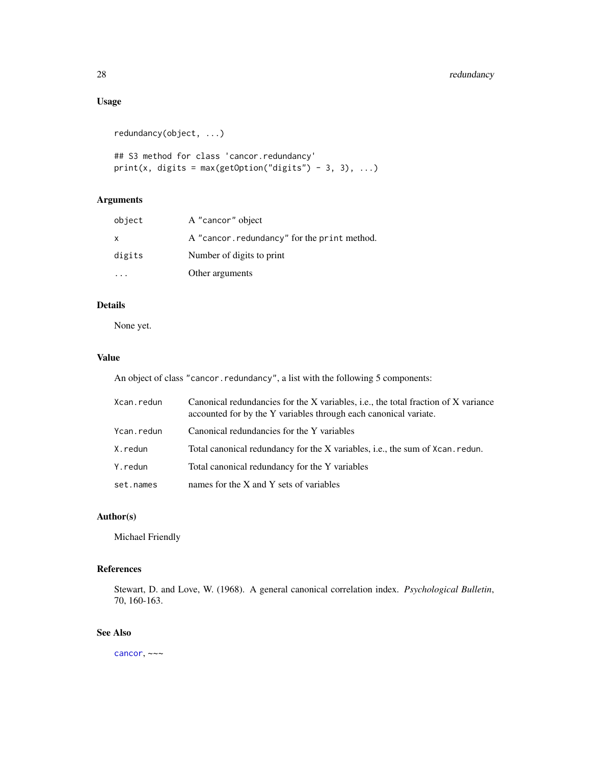# <span id="page-27-0"></span>28 redundancy

# Usage

```
redundancy(object, ...)
```

```
## S3 method for class 'cancor.redundancy'
print(x, digits = max(getOption("digits") - 3, 3), ...)
```
# Arguments

| object | A "cancor" object                           |
|--------|---------------------------------------------|
| X      | A "cancor.redundancy" for the print method. |
| digits | Number of digits to print                   |
|        | Other arguments                             |

# Details

None yet.

## Value

An object of class "cancor.redundancy", a list with the following 5 components:

| Xcan.redun | Canonical redundancies for the X variables, i.e., the total fraction of X variance<br>accounted for by the Y variables through each canonical variate. |
|------------|--------------------------------------------------------------------------------------------------------------------------------------------------------|
| Ycan.redun | Canonical redundancies for the Y variables                                                                                                             |
| X.redun    | Total canonical redundancy for the X variables, i.e., the sum of Xcan. redun.                                                                          |
| Y.redun    | Total canonical redundancy for the Y variables                                                                                                         |
| set.names  | names for the X and Y sets of variables                                                                                                                |

# Author(s)

Michael Friendly

# References

Stewart, D. and Love, W. (1968). A general canonical correlation index. *Psychological Bulletin*, 70, 160-163.

# See Also

[cancor](#page-3-1), ~~~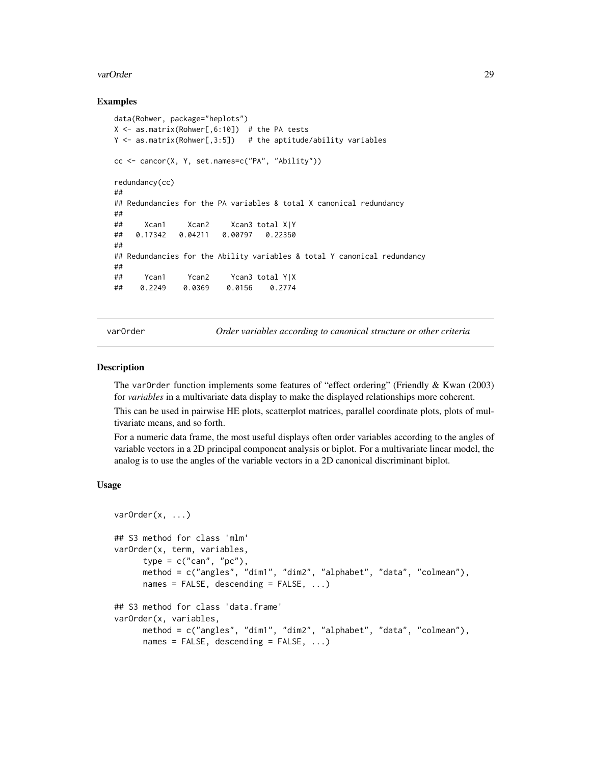#### <span id="page-28-0"></span>varOrder 29

#### Examples

```
data(Rohwer, package="heplots")
X \le - as.matrix(Rohwer[,6:10]) # the PA tests
Y \leq -as.matrix(Rohwer[,3:5]) # the aptitude/ability variables
cc <- cancor(X, Y, set.names=c("PA", "Ability"))
redundancy(cc)
##
## Redundancies for the PA variables & total X canonical redundancy
##
## Xcan1 Xcan2 Xcan3 total X|Y
## 0.17342 0.04211 0.00797 0.22350
##
## Redundancies for the Ability variables & total Y canonical redundancy
##
## Ycan1 Ycan2 Ycan3 total Y|X
## 0.2249 0.0369 0.0156 0.2774
```
varOrder *Order variables according to canonical structure or other criteria*

#### Description

The varOrder function implements some features of "effect ordering" (Friendly & Kwan (2003) for *variables* in a multivariate data display to make the displayed relationships more coherent.

This can be used in pairwise HE plots, scatterplot matrices, parallel coordinate plots, plots of multivariate means, and so forth.

For a numeric data frame, the most useful displays often order variables according to the angles of variable vectors in a 2D principal component analysis or biplot. For a multivariate linear model, the analog is to use the angles of the variable vectors in a 2D canonical discriminant biplot.

#### Usage

```
varOrder(x, ...)
## S3 method for class 'mlm'
varOrder(x, term, variables,
     type = c("can", "pc"),
     method = c("angles", "dim1", "dim2", "alphabet", "data", "colmean"),
     names = FALSE, descending = FALSE, ...)
## S3 method for class 'data.frame'
varOrder(x, variables,
     method = c("angles", "dim1", "dim2", "alphabet", "data", "colmean"),
     names = FALSE, descending = FALSE, ...)
```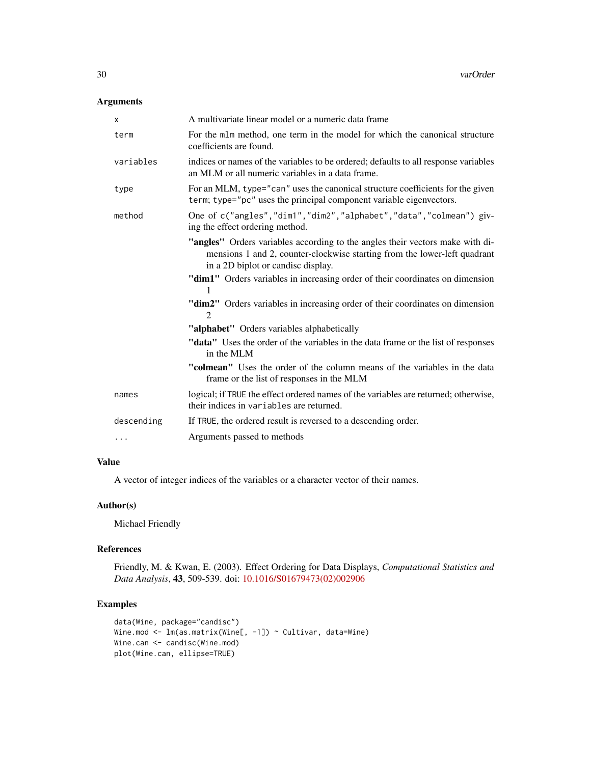# Arguments

| A multivariate linear model or a numeric data frame                                                                                                                                              |
|--------------------------------------------------------------------------------------------------------------------------------------------------------------------------------------------------|
| For the mlm method, one term in the model for which the canonical structure<br>coefficients are found.                                                                                           |
| indices or names of the variables to be ordered; defaults to all response variables<br>an MLM or all numeric variables in a data frame.                                                          |
| For an MLM, type="can" uses the canonical structure coefficients for the given<br>term; type="pc" uses the principal component variable eigenvectors.                                            |
| One of c("angles", "dim1", "dim2", "alphabet", "data", "colmean") giv-<br>ing the effect ordering method.                                                                                        |
| "angles" Orders variables according to the angles their vectors make with di-<br>mensions 1 and 2, counter-clockwise starting from the lower-left quadrant<br>in a 2D biplot or candisc display. |
| "dim1" Orders variables in increasing order of their coordinates on dimension<br>1                                                                                                               |
| "dim2" Orders variables in increasing order of their coordinates on dimension<br>$\mathfrak{D}$                                                                                                  |
| "alphabet" Orders variables alphabetically                                                                                                                                                       |
| "data" Uses the order of the variables in the data frame or the list of responses<br>in the MLM                                                                                                  |
| "colmean" Uses the order of the column means of the variables in the data<br>frame or the list of responses in the MLM                                                                           |
| logical; if TRUE the effect ordered names of the variables are returned; otherwise,<br>their indices in variables are returned.                                                                  |
| If TRUE, the ordered result is reversed to a descending order.                                                                                                                                   |
| Arguments passed to methods                                                                                                                                                                      |
|                                                                                                                                                                                                  |

# Value

A vector of integer indices of the variables or a character vector of their names.

# Author(s)

Michael Friendly

# References

Friendly, M. & Kwan, E. (2003). Effect Ordering for Data Displays, *Computational Statistics and Data Analysis*, 43, 509-539. doi: [10.1016/S01679473\(02\)002906](https://doi.org/10.1016/S0167-9473(02)00290-6)

# Examples

```
data(Wine, package="candisc")
Wine.mod <- lm(as.matrix(Wine[, -1]) ~ Cultivar, data=Wine)
Wine.can <- candisc(Wine.mod)
plot(Wine.can, ellipse=TRUE)
```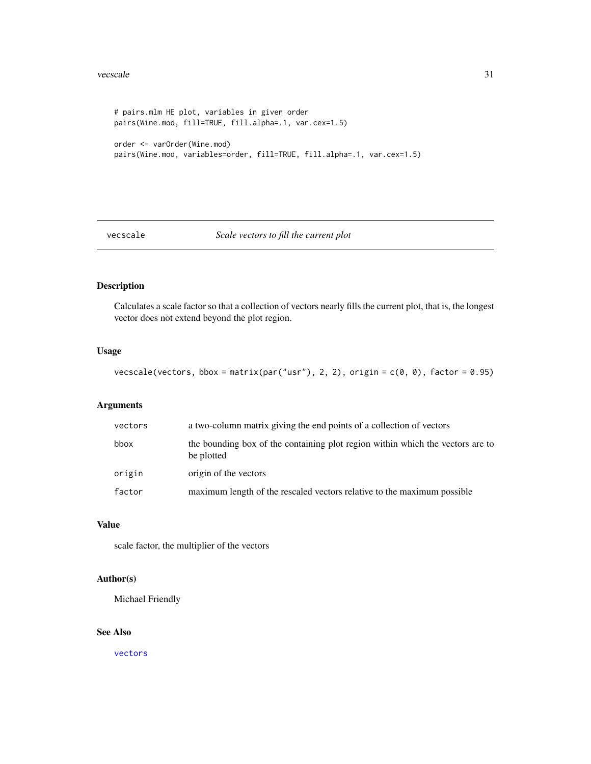#### <span id="page-30-0"></span>vecscale 31

```
# pairs.mlm HE plot, variables in given order
pairs(Wine.mod, fill=TRUE, fill.alpha=.1, var.cex=1.5)
order <- varOrder(Wine.mod)
pairs(Wine.mod, variables=order, fill=TRUE, fill.alpha=.1, var.cex=1.5)
```
# vecscale *Scale vectors to fill the current plot*

# Description

Calculates a scale factor so that a collection of vectors nearly fills the current plot, that is, the longest vector does not extend beyond the plot region.

# Usage

```
vecscale(vectors, bbox = matrix(par("usr"), 2, 2), origin = c(0, 0), factor = 0.95)
```
#### Arguments

| vectors | a two-column matrix giving the end points of a collection of vectors                         |
|---------|----------------------------------------------------------------------------------------------|
| bbox    | the bounding box of the containing plot region within which the vectors are to<br>be plotted |
| origin  | origin of the vectors                                                                        |
| factor  | maximum length of the rescaled vectors relative to the maximum possible                      |

#### Value

scale factor, the multiplier of the vectors

# Author(s)

Michael Friendly

# See Also

[vectors](#page-31-1)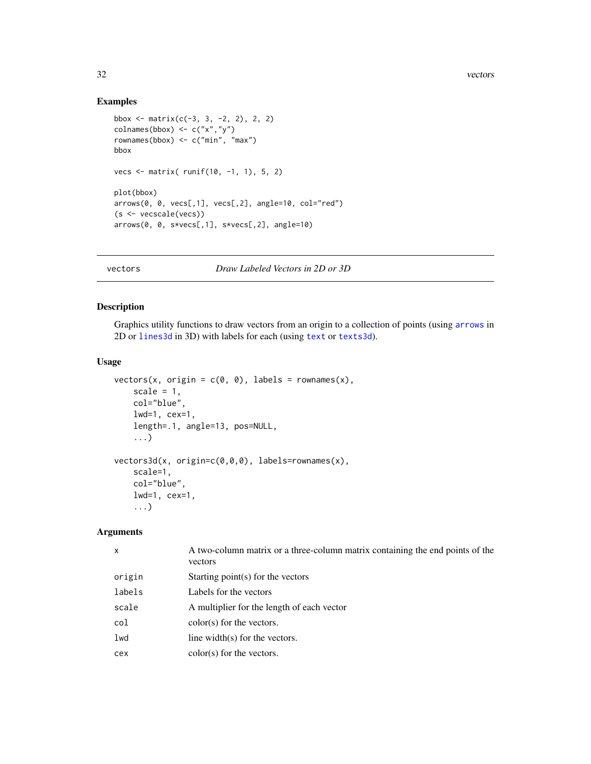# Examples

```
bbox \le matrix(c(-3, 3, -2, 2), 2, 2)
colnames(bbox) \leq c("x","y")
rownames(bbox) <- c("min", "max")
bbox
vecs <- matrix( runif(10, -1, 1), 5, 2)
plot(bbox)
arrows(0, 0, vecs[,1], vecs[,2], angle=10, col="red")
(s <- vecscale(vecs))
arrows(0, 0, s*vecs[,1], s*vecs[,2], angle=10)
```
<span id="page-31-1"></span>

vectors *Draw Labeled Vectors in 2D or 3D*

#### Description

Graphics utility functions to draw vectors from an origin to a collection of points (using [arrows](#page-0-0) in 2D or [lines3d](#page-0-0) in 3D) with labels for each (using [text](#page-0-0) or [texts3d](#page-0-0)).

#### Usage

```
vectors(x, origin = c(0, 0), labels = rownames(x),scale = 1,
   col="blue",
   lwd=1, cex=1,
   length=.1, angle=13, pos=NULL,
    ...)
vectors3d(x, origin=c(0,0,0), labels=rownames(x),
   scale=1,
   col="blue",
   lwd=1, cex=1,
    ...)
```
#### Arguments

| x      | A two-column matrix or a three-column matrix containing the end points of the<br>vectors |
|--------|------------------------------------------------------------------------------------------|
| origin | Starting point $(s)$ for the vectors                                                     |
| labels | Labels for the vectors                                                                   |
| scale  | A multiplier for the length of each vector                                               |
| col    | $color(s)$ for the vectors.                                                              |
| lwd    | line width( $s$ ) for the vectors.                                                       |
| cex    | $color(s)$ for the vectors.                                                              |
|        |                                                                                          |

<span id="page-31-0"></span>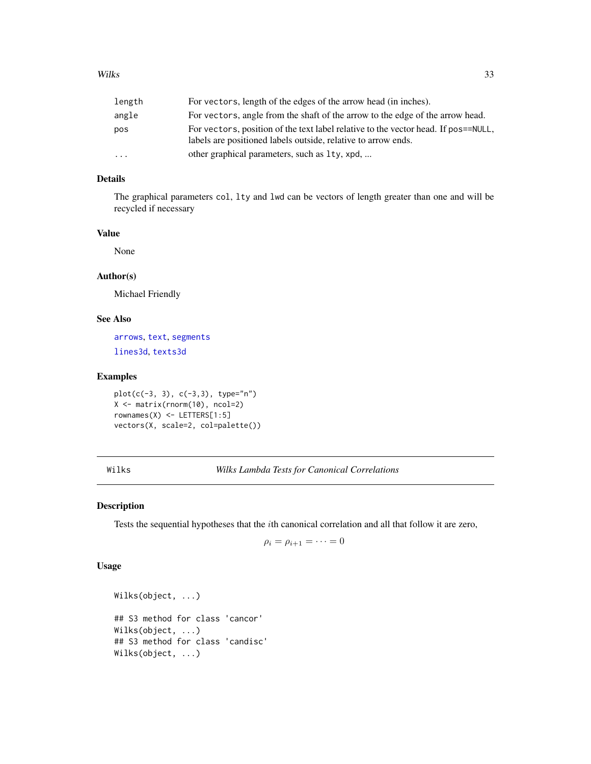<span id="page-32-0"></span>

| length    | For vectors, length of the edges of the arrow head (in inches).                                                                                     |
|-----------|-----------------------------------------------------------------------------------------------------------------------------------------------------|
| angle     | For vectors, angle from the shaft of the arrow to the edge of the arrow head.                                                                       |
| pos       | For vectors, position of the text label relative to the vector head. If pos==NULL,<br>labels are positioned labels outside, relative to arrow ends. |
| $\ddotsc$ | other graphical parameters, such as 1ty, xpd,                                                                                                       |

# Details

The graphical parameters col, lty and lwd can be vectors of length greater than one and will be recycled if necessary

# Value

None

# Author(s)

Michael Friendly

# See Also

[arrows](#page-0-0), [text](#page-0-0), [segments](#page-0-0) [lines3d](#page-0-0), [texts3d](#page-0-0)

# Examples

```
plot(c(-3, 3), c(-3, 3), type="n")X <- matrix(rnorm(10), ncol=2)
rownames(X) <- LETTERS[1:5]
vectors(X, scale=2, col=palette())
```
Wilks *Wilks Lambda Tests for Canonical Correlations*

#### Description

Tests the sequential hypotheses that the ith canonical correlation and all that follow it are zero,

$$
\rho_i = \rho_{i+1} = \cdots = 0
$$

#### Usage

```
Wilks(object, ...)
## S3 method for class 'cancor'
Wilks(object, ...)
## S3 method for class 'candisc'
Wilks(object, ...)
```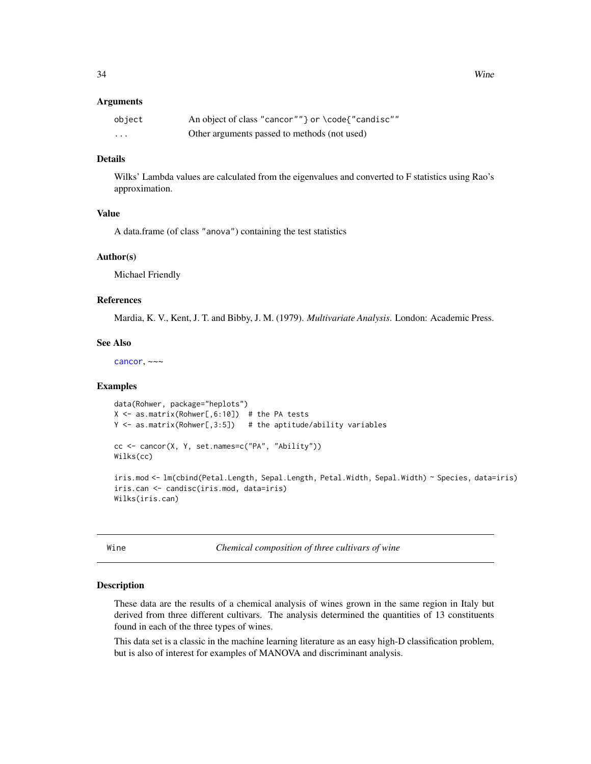#### <span id="page-33-0"></span>Arguments

| object   | An object of class "cancor"" } or \code{"candisc"" |
|----------|----------------------------------------------------|
| $\cdots$ | Other arguments passed to methods (not used)       |

# Details

Wilks' Lambda values are calculated from the eigenvalues and converted to F statistics using Rao's approximation.

#### Value

A data.frame (of class "anova") containing the test statistics

#### Author(s)

Michael Friendly

#### References

Mardia, K. V., Kent, J. T. and Bibby, J. M. (1979). *Multivariate Analysis*. London: Academic Press.

#### See Also

[cancor](#page-3-1), ~~~

#### Examples

```
data(Rohwer, package="heplots")
X \le - as.matrix(Rohwer[,6:10]) # the PA tests
Y \leq -a s.matrix(Rohwer[, 3:5]) # the aptitude/ability variables
cc <- cancor(X, Y, set.names=c("PA", "Ability"))
Wilks(cc)
iris.mod <- lm(cbind(Petal.Length, Sepal.Length, Petal.Width, Sepal.Width) ~ Species, data=iris)
iris.can <- candisc(iris.mod, data=iris)
Wilks(iris.can)
```
Wine *Chemical composition of three cultivars of wine*

#### **Description**

These data are the results of a chemical analysis of wines grown in the same region in Italy but derived from three different cultivars. The analysis determined the quantities of 13 constituents found in each of the three types of wines.

This data set is a classic in the machine learning literature as an easy high-D classification problem, but is also of interest for examples of MANOVA and discriminant analysis.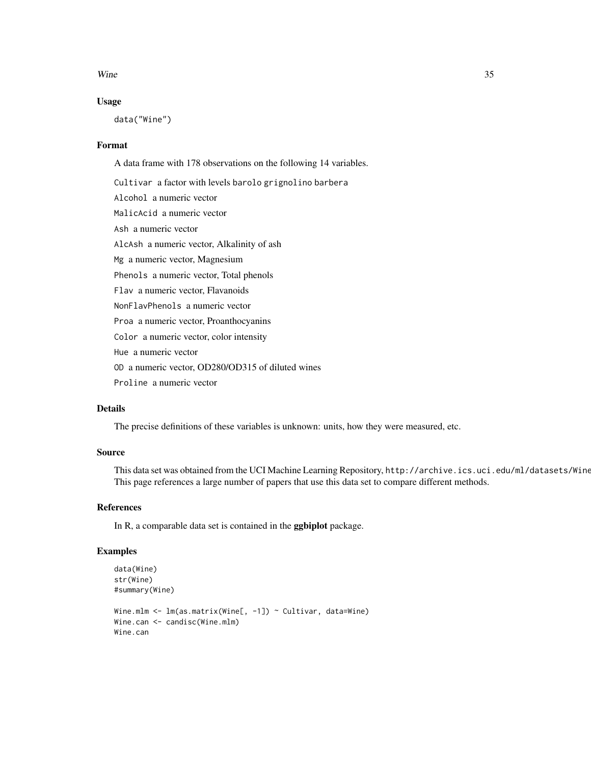#### $Wine$  35

#### Usage

data("Wine")

#### Format

A data frame with 178 observations on the following 14 variables.

Cultivar a factor with levels barolo grignolino barbera Alcohol a numeric vector MalicAcid a numeric vector Ash a numeric vector AlcAsh a numeric vector, Alkalinity of ash Mg a numeric vector, Magnesium Phenols a numeric vector, Total phenols Flav a numeric vector, Flavanoids NonFlavPhenols a numeric vector Proa a numeric vector, Proanthocyanins Color a numeric vector, color intensity Hue a numeric vector OD a numeric vector, OD280/OD315 of diluted wines Proline a numeric vector

### Details

The precise definitions of these variables is unknown: units, how they were measured, etc.

#### Source

This data set was obtained from the UCI Machine Learning Repository, http://archive.ics.uci.edu/ml/datasets/Wine. This page references a large number of papers that use this data set to compare different methods.

#### References

In R, a comparable data set is contained in the ggbiplot package.

#### Examples

```
data(Wine)
str(Wine)
#summary(Wine)
Wine.mlm <- lm(as.matrix(Wine[, -1]) ~ Cultivar, data=Wine)
Wine.can <- candisc(Wine.mlm)
Wine.can
```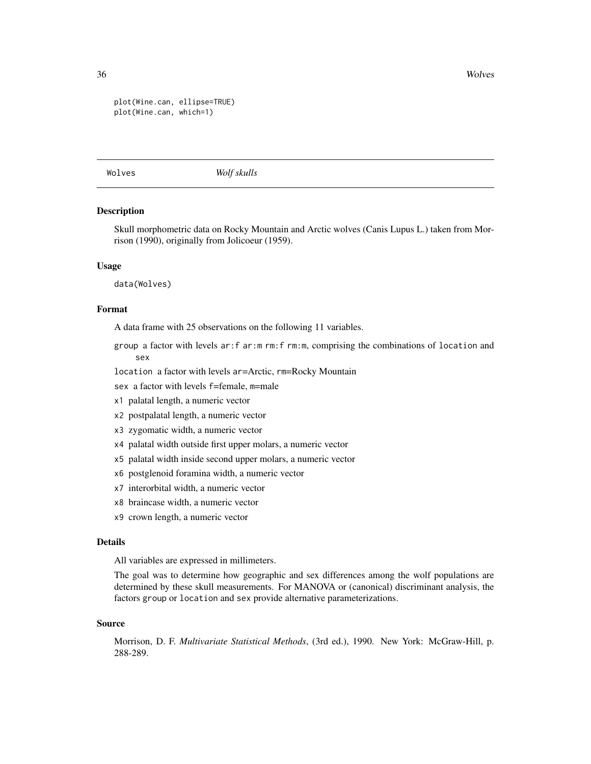<span id="page-35-0"></span>36 Wolves

```
plot(Wine.can, ellipse=TRUE)
plot(Wine.can, which=1)
```
Wolves *Wolf skulls*

#### Description

Skull morphometric data on Rocky Mountain and Arctic wolves (Canis Lupus L.) taken from Morrison (1990), originally from Jolicoeur (1959).

#### Usage

data(Wolves)

# Format

A data frame with 25 observations on the following 11 variables.

- group a factor with levels ar:f ar:m rm:f rm:m, comprising the combinations of location and sex
- location a factor with levels ar=Arctic, rm=Rocky Mountain
- sex a factor with levels f=female, m=male
- x1 palatal length, a numeric vector
- x2 postpalatal length, a numeric vector
- x3 zygomatic width, a numeric vector
- x4 palatal width outside first upper molars, a numeric vector
- x5 palatal width inside second upper molars, a numeric vector
- x6 postglenoid foramina width, a numeric vector
- x7 interorbital width, a numeric vector
- x8 braincase width, a numeric vector
- x9 crown length, a numeric vector

#### Details

All variables are expressed in millimeters.

The goal was to determine how geographic and sex differences among the wolf populations are determined by these skull measurements. For MANOVA or (canonical) discriminant analysis, the factors group or location and sex provide alternative parameterizations.

#### Source

Morrison, D. F. *Multivariate Statistical Methods*, (3rd ed.), 1990. New York: McGraw-Hill, p. 288-289.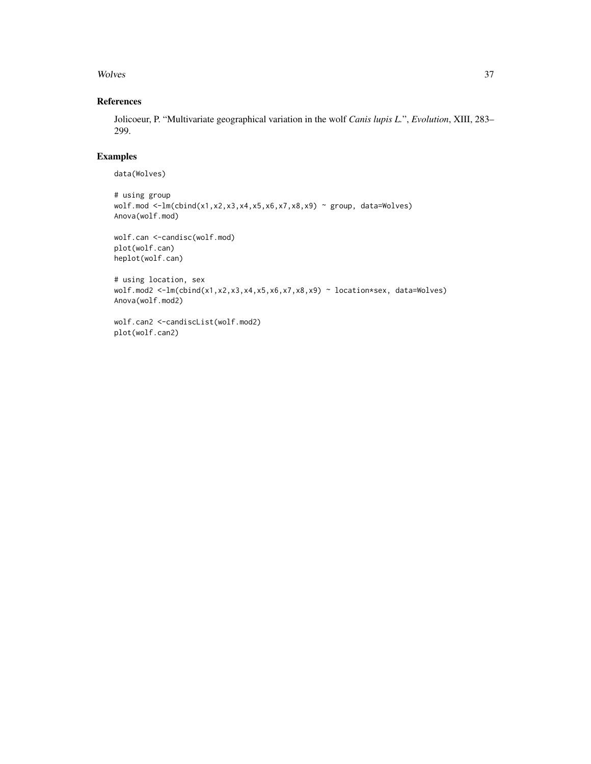#### Wolves 37

# References

Jolicoeur, P. "Multivariate geographical variation in the wolf *Canis lupis L.*", *Evolution*, XIII, 283– 299.

# Examples

```
data(Wolves)
```

```
# using group
wolf.mod <-lm(cbind(x1,x2,x3,x4,x5,x6,x7,x8,x9) ~ group, data=Wolves)
Anova(wolf.mod)
wolf.can <-candisc(wolf.mod)
plot(wolf.can)
heplot(wolf.can)
# using location, sex
wolf.mod2 <-lm(cbind(x1,x2,x3,x4,x5,x6,x7,x8,x9) ~ location*sex, data=Wolves)
Anova(wolf.mod2)
wolf.can2 <-candiscList(wolf.mod2)
plot(wolf.can2)
```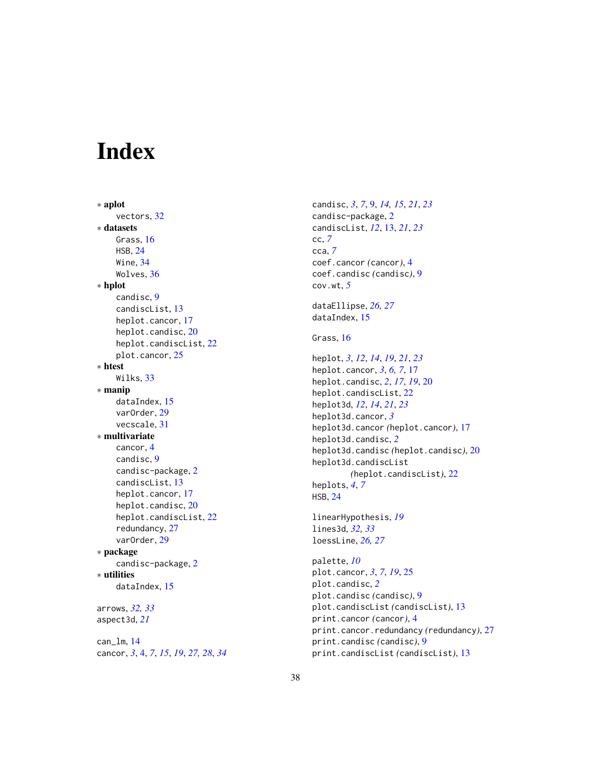# <span id="page-37-0"></span>Index

∗ aplot vectors, [32](#page-31-0) ∗ datasets Grass, [16](#page-15-0) HSB, [24](#page-23-0) Wine, [34](#page-33-0) Wolves, [36](#page-35-0) ∗ hplot candisc, [9](#page-8-0) candiscList, [13](#page-12-0) heplot.cancor, [17](#page-16-0) heplot.candisc, [20](#page-19-0) heplot.candiscList, [22](#page-21-0) plot.cancor, [25](#page-24-0) ∗ htest Wilks, [33](#page-32-0) ∗ manip dataIndex, [15](#page-14-0) varOrder, [29](#page-28-0) vecscale, [31](#page-30-0) ∗ multivariate cancor, [4](#page-3-0) candisc, [9](#page-8-0) candisc-package, [2](#page-1-0) candiscList, [13](#page-12-0) heplot.cancor, [17](#page-16-0) heplot.candisc, [20](#page-19-0) heplot.candiscList, [22](#page-21-0) redundancy, [27](#page-26-0) varOrder, [29](#page-28-0) ∗ package candisc-package, [2](#page-1-0) ∗ utilities dataIndex, [15](#page-14-0) arrows, *[32,](#page-31-0) [33](#page-32-0)* aspect3d, *[21](#page-20-0)* can\_lm, [14](#page-13-0)

cancor, *[3](#page-2-0)*, [4,](#page-3-0) *[7](#page-6-0)*, *[15](#page-14-0)*, *[19](#page-18-0)*, *[27,](#page-26-0) [28](#page-27-0)*, *[34](#page-33-0)*

candisc, *[3](#page-2-0)*, *[7](#page-6-0)*, [9,](#page-8-0) *[14,](#page-13-0) [15](#page-14-0)*, *[21](#page-20-0)*, *[23](#page-22-0)* candisc-package, [2](#page-1-0) candiscList, *[12](#page-11-0)*, [13,](#page-12-0) *[21](#page-20-0)*, *[23](#page-22-0)* cc, *[7](#page-6-0)* cca, *[7](#page-6-0)* coef.cancor *(*cancor*)*, [4](#page-3-0) coef.candisc *(*candisc*)*, [9](#page-8-0) cov.wt, *[5](#page-4-0)* dataEllipse, *[26,](#page-25-0) [27](#page-26-0)* dataIndex, [15](#page-14-0) Grass, [16](#page-15-0) heplot, *[3](#page-2-0)*, *[12](#page-11-0)*, *[14](#page-13-0)*, *[19](#page-18-0)*, *[21](#page-20-0)*, *[23](#page-22-0)* heplot.cancor, *[3](#page-2-0)*, *[6,](#page-5-0) [7](#page-6-0)*, [17](#page-16-0) heplot.candisc, *[2](#page-1-0)*, *[17](#page-16-0)*, *[19](#page-18-0)*, [20](#page-19-0) heplot.candiscList, [22](#page-21-0) heplot3d, *[12](#page-11-0)*, *[14](#page-13-0)*, *[21](#page-20-0)*, *[23](#page-22-0)* heplot3d.cancor, *[3](#page-2-0)* heplot3d.cancor *(*heplot.cancor*)*, [17](#page-16-0) heplot3d.candisc, *[2](#page-1-0)* heplot3d.candisc *(*heplot.candisc*)*, [20](#page-19-0) heplot3d.candiscList *(*heplot.candiscList*)*, [22](#page-21-0) heplots, *[4](#page-3-0)*, *[7](#page-6-0)* HSB, [24](#page-23-0) linearHypothesis, *[19](#page-18-0)* lines3d, *[32,](#page-31-0) [33](#page-32-0)* loessLine, *[26,](#page-25-0) [27](#page-26-0)* palette, *[10](#page-9-0)* plot.cancor, *[3](#page-2-0)*, *[7](#page-6-0)*, *[19](#page-18-0)*, [25](#page-24-0) plot.candisc, *[2](#page-1-0)* plot.candisc *(*candisc*)*, [9](#page-8-0) plot.candiscList *(*candiscList*)*, [13](#page-12-0) print.cancor *(*cancor*)*, [4](#page-3-0)

print.cancor.redundancy *(*redundancy*)*, [27](#page-26-0)

print.candiscList *(*candiscList*)*, [13](#page-12-0)

print.candisc *(*candisc*)*, [9](#page-8-0)